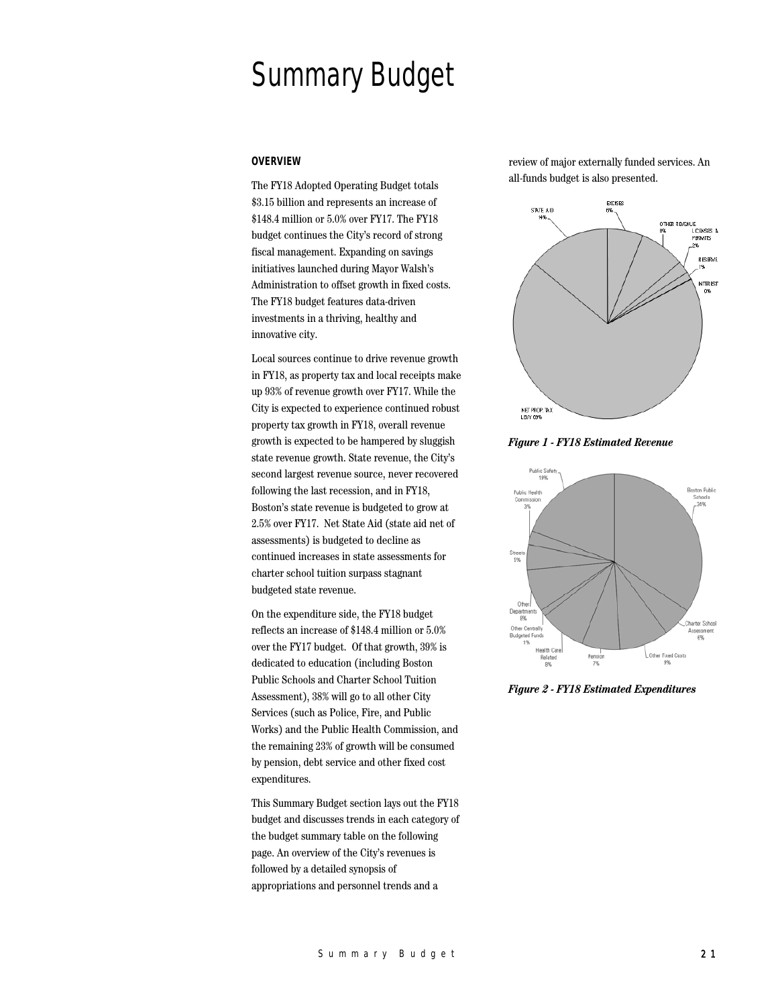# Summary Budget

#### **OVERVIEW**

The FY18 Adopted Operating Budget totals \$3.15 billion and represents an increase of \$148.4 million or 5.0% over FY17. The FY18 budget continues the City's record of strong fiscal management. Expanding on savings initiatives launched during Mayor Walsh's Administration to offset growth in fixed costs. The FY18 budget features data-driven investments in a thriving, healthy and innovative city.

Local sources continue to drive revenue growth in FY18, as property tax and local receipts make up 93% of revenue growth over FY17. While the City is expected to experience continued robust property tax growth in FY18, overall revenue growth is expected to be hampered by sluggish state revenue growth. State revenue, the City's second largest revenue source, never recovered following the last recession, and in FY18, Boston's state revenue is budgeted to grow at 2.5% over FY17. Net State Aid (state aid net of assessments) is budgeted to decline as continued increases in state assessments for charter school tuition surpass stagnant budgeted state revenue.

On the expenditure side, the FY18 budget reflects an increase of \$148.4 million or 5.0% over the FY17 budget. Of that growth, 39% is dedicated to education (including Boston Public Schools and Charter School Tuition Assessment), 38% will go to all other City Services (such as Police, Fire, and Public Works) and the Public Health Commission, and the remaining 23% of growth will be consumed by pension, debt service and other fixed cost expenditures.

This Summary Budget section lays out the FY18 budget and discusses trends in each category of the budget summary table on the following page. An overview of the City's revenues is followed by a detailed synopsis of appropriations and personnel trends and a

review of major externally funded services. An all-funds budget is also presented.



*Figure 1 - FY18 Estimated Revenue*



*Figure 2 - FY18 Estimated Expenditures*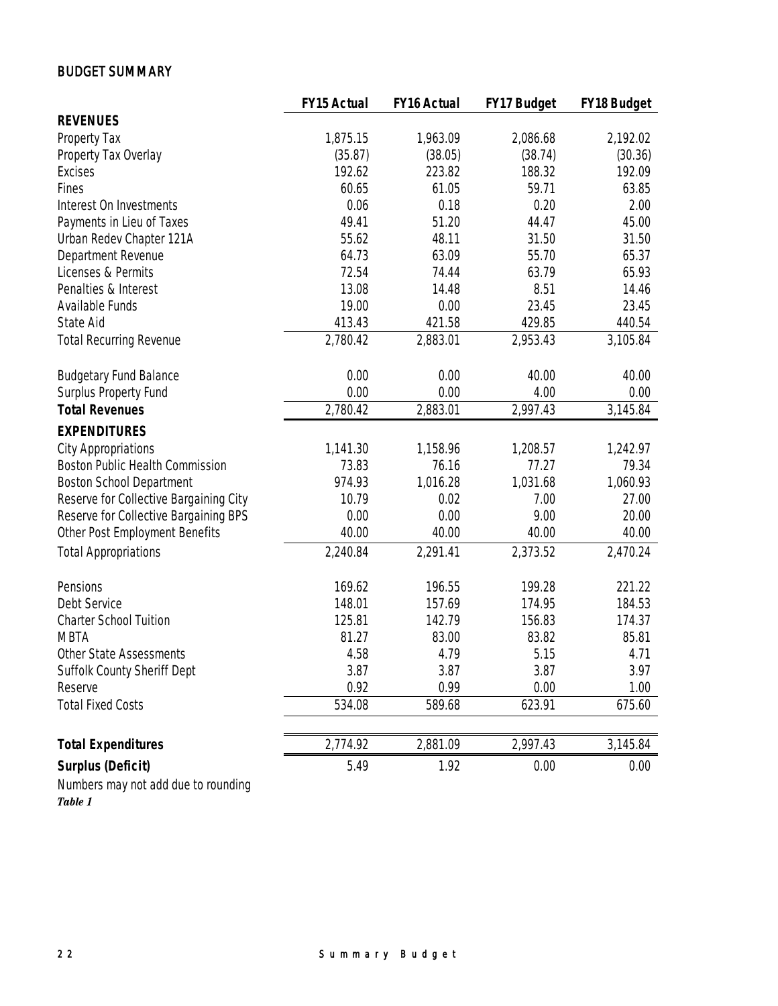# BUDGET SUMMARY

|                                        | <b>FY15 Actual</b> | <b>FY16 Actual</b> | FY17 Budget | FY18 Budget |
|----------------------------------------|--------------------|--------------------|-------------|-------------|
| <b>REVENUES</b>                        |                    |                    |             |             |
| Property Tax                           | 1,875.15           | 1,963.09           | 2,086.68    | 2,192.02    |
| Property Tax Overlay                   | (35.87)            | (38.05)            | (38.74)     | (30.36)     |
| <b>Excises</b>                         | 192.62             | 223.82             | 188.32      | 192.09      |
| Fines                                  | 60.65              | 61.05              | 59.71       | 63.85       |
| Interest On Investments                | 0.06               | 0.18               | 0.20        | 2.00        |
| Payments in Lieu of Taxes              | 49.41              | 51.20              | 44.47       | 45.00       |
| Urban Redev Chapter 121A               | 55.62              | 48.11              | 31.50       | 31.50       |
| Department Revenue                     | 64.73              | 63.09              | 55.70       | 65.37       |
| Licenses & Permits                     | 72.54              | 74.44              | 63.79       | 65.93       |
| Penalties & Interest                   | 13.08              | 14.48              | 8.51        | 14.46       |
| Available Funds                        | 19.00              | 0.00               | 23.45       | 23.45       |
| State Aid                              | 413.43             | 421.58             | 429.85      | 440.54      |
| <b>Total Recurring Revenue</b>         | 2,780.42           | 2,883.01           | 2,953.43    | 3,105.84    |
| <b>Budgetary Fund Balance</b>          | 0.00               | 0.00               | 40.00       | 40.00       |
| Surplus Property Fund                  | 0.00               | 0.00               | 4.00        | 0.00        |
| <b>Total Revenues</b>                  | 2,780.42           | 2,883.01           | 2,997.43    | 3,145.84    |
| <b>EXPENDITURES</b>                    |                    |                    |             |             |
| <b>City Appropriations</b>             | 1,141.30           | 1,158.96           | 1,208.57    | 1,242.97    |
| Boston Public Health Commission        | 73.83              | 76.16              | 77.27       | 79.34       |
| <b>Boston School Department</b>        | 974.93             | 1,016.28           | 1,031.68    | 1,060.93    |
| Reserve for Collective Bargaining City | 10.79              | 0.02               | 7.00        | 27.00       |
| Reserve for Collective Bargaining BPS  | 0.00               | 0.00               | 9.00        | 20.00       |
| Other Post Employment Benefits         | 40.00              | 40.00              | 40.00       | 40.00       |
| <b>Total Appropriations</b>            | 2,240.84           | 2,291.41           | 2,373.52    | 2,470.24    |
| Pensions                               | 169.62             | 196.55             | 199.28      | 221.22      |
| Debt Service                           | 148.01             | 157.69             | 174.95      | 184.53      |
| <b>Charter School Tuition</b>          | 125.81             | 142.79             | 156.83      | 174.37      |
| <b>MBTA</b>                            | 81.27              | 83.00              | 83.82       | 85.81       |
| Other State Assessments                | 4.58               | 4.79               | 5.15        | 4.71        |
| Suffolk County Sheriff Dept            | 3.87               | 3.87               | 3.87        | 3.97        |
| Reserve                                | 0.92               | 0.99               | 0.00        | 1.00        |
| <b>Total Fixed Costs</b>               | 534.08             | 589.68             | 623.91      | 675.60      |
| <b>Total Expenditures</b>              | 2,774.92           | 2,881.09           | 2,997.43    | 3,145.84    |
| <b>Surplus (Deficit)</b>               | 5.49               | 1.92               | 0.00        | 0.00        |
| Numbers may not add due to rounding    |                    |                    |             |             |

*Table 1*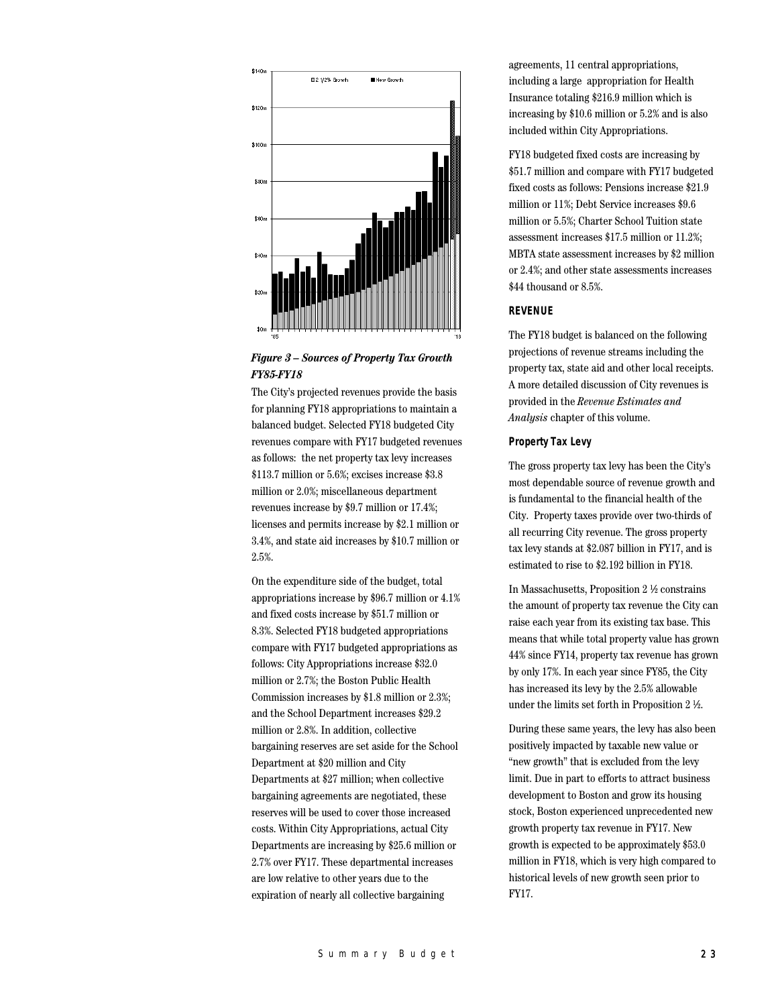

# *Figure 3 – Sources of Property Tax Growth FY85-FY18*

The City's projected revenues provide the basis for planning FY18 appropriations to maintain a balanced budget. Selected FY18 budgeted City revenues compare with FY17 budgeted revenues as follows: the net property tax levy increases \$113.7 million or 5.6%; excises increase \$3.8 million or 2.0%; miscellaneous department revenues increase by \$9.7 million or 17.4%; licenses and permits increase by \$2.1 million or 3.4%, and state aid increases by \$10.7 million or 2.5%.

On the expenditure side of the budget, total appropriations increase by \$96.7 million or 4.1% and fixed costs increase by \$51.7 million or 8.3%. Selected FY18 budgeted appropriations compare with FY17 budgeted appropriations as follows: City Appropriations increase \$32.0 million or 2.7%; the Boston Public Health Commission increases by \$1.8 million or 2.3%; and the School Department increases \$29.2 million or 2.8%. In addition, collective bargaining reserves are set aside for the School Department at \$20 million and City Departments at \$27 million; when collective bargaining agreements are negotiated, these reserves will be used to cover those increased costs. Within City Appropriations, actual City Departments are increasing by \$25.6 million or 2.7% over FY17. These departmental increases are low relative to other years due to the expiration of nearly all collective bargaining

agreements, 11 central appropriations, including a large appropriation for Health Insurance totaling \$216.9 million which is increasing by \$10.6 million or 5.2% and is also included within City Appropriations.

FY18 budgeted fixed costs are increasing by \$51.7 million and compare with FY17 budgeted fixed costs as follows: Pensions increase \$21.9 million or 11%; Debt Service increases \$9.6 million or 5.5%; Charter School Tuition state assessment increases \$17.5 million or 11.2%; MBTA state assessment increases by \$2 million or 2.4%; and other state assessments increases \$44 thousand or 8.5%.

# **REVENUE**

The FY18 budget is balanced on the following projections of revenue streams including the property tax, state aid and other local receipts. A more detailed discussion of City revenues is provided in the *Revenue Estimates and Analysis* chapter of this volume.

#### **Property Tax Levy**

The gross property tax levy has been the City's most dependable source of revenue growth and is fundamental to the financial health of the City. Property taxes provide over two-thirds of all recurring City revenue. The gross property tax levy stands at \$2.087 billion in FY17, and is estimated to rise to \$2.192 billion in FY18.

In Massachusetts, Proposition 2 ½ constrains the amount of property tax revenue the City can raise each year from its existing tax base. This means that while total property value has grown 44% since FY14, property tax revenue has grown by only 17%. In each year since FY85, the City has increased its levy by the 2.5% allowable under the limits set forth in Proposition 2 ½.

During these same years, the levy has also been positively impacted by taxable new value or "new growth" that is excluded from the levy limit. Due in part to efforts to attract business development to Boston and grow its housing stock, Boston experienced unprecedented new growth property tax revenue in FY17. New growth is expected to be approximately \$53.0 million in FY18, which is very high compared to historical levels of new growth seen prior to FY17.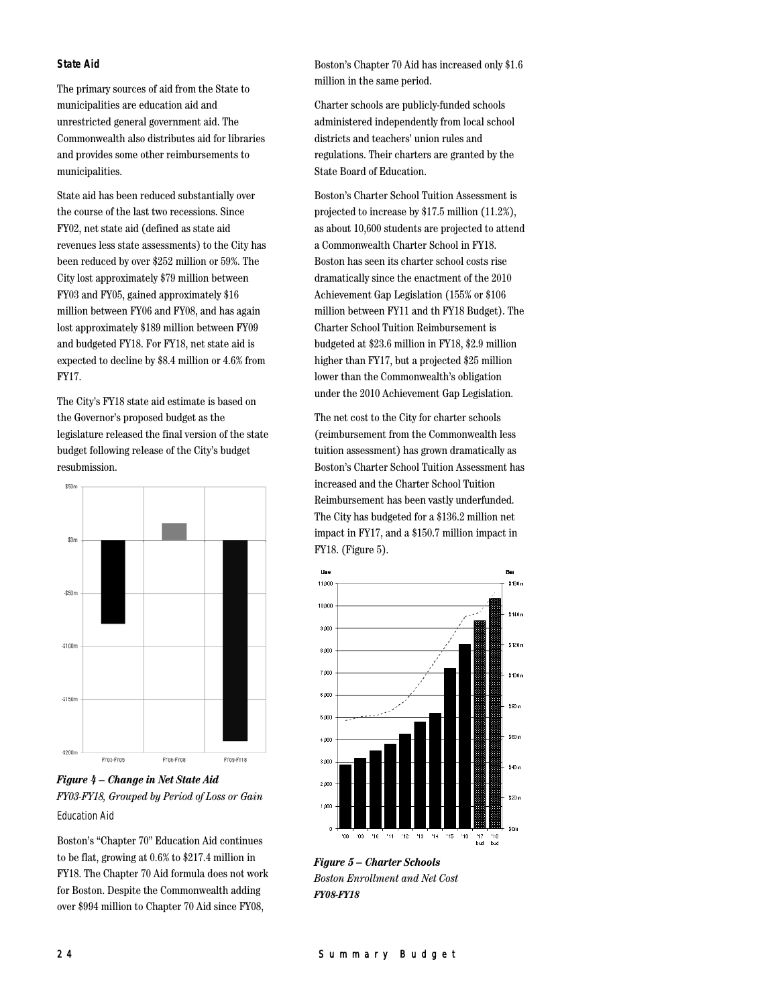## **State Aid**

The primary sources of aid from the State to municipalities are education aid and unrestricted general government aid. The Commonwealth also distributes aid for libraries and provides some other reimbursements to municipalities.

State aid has been reduced substantially over the course of the last two recessions. Since FY02, net state aid (defined as state aid revenues less state assessments) to the City has been reduced by over \$252 million or 59%. The City lost approximately \$79 million between FY03 and FY05, gained approximately \$16 million between FY06 and FY08, and has again lost approximately \$189 million between FY09 and budgeted FY18. For FY18, net state aid is expected to decline by \$8.4 million or 4.6% from FY17.

The City's FY18 state aid estimate is based on the Governor's proposed budget as the legislature released the final version of the state budget following release of the City's budget resubmission.



*Figure 4 – Change in Net State Aid FY03-FY18, Grouped by Period of Loss or Gain* Education Aid

Boston's "Chapter 70" Education Aid continues to be flat, growing at 0.6% to \$217.4 million in FY18. The Chapter 70 Aid formula does not work for Boston. Despite the Commonwealth adding over \$994 million to Chapter 70 Aid since FY08,

Boston's Chapter 70 Aid has increased only \$1.6 million in the same period.

Charter schools are publicly-funded schools administered independently from local school districts and teachers' union rules and regulations. Their charters are granted by the State Board of Education.

Boston's Charter School Tuition Assessment is projected to increase by \$17.5 million (11.2%), as about 10,600 students are projected to attend a Commonwealth Charter School in FY18. Boston has seen its charter school costs rise dramatically since the enactment of the 2010 Achievement Gap Legislation (155% or \$106 million between FY11 and th FY18 Budget). The Charter School Tuition Reimbursement is budgeted at \$23.6 million in FY18, \$2.9 million higher than FY17, but a projected \$25 million lower than the Commonwealth's obligation under the 2010 Achievement Gap Legislation.

The net cost to the City for charter schools (reimbursement from the Commonwealth less tuition assessment) has grown dramatically as Boston's Charter School Tuition Assessment has increased and the Charter School Tuition Reimbursement has been vastly underfunded. The City has budgeted for a \$136.2 million net impact in FY17, and a \$150.7 million impact in FY18. (Figure 5).



*Figure 5 – Charter Schools Boston Enrollment and Net Cost FY08-FY18*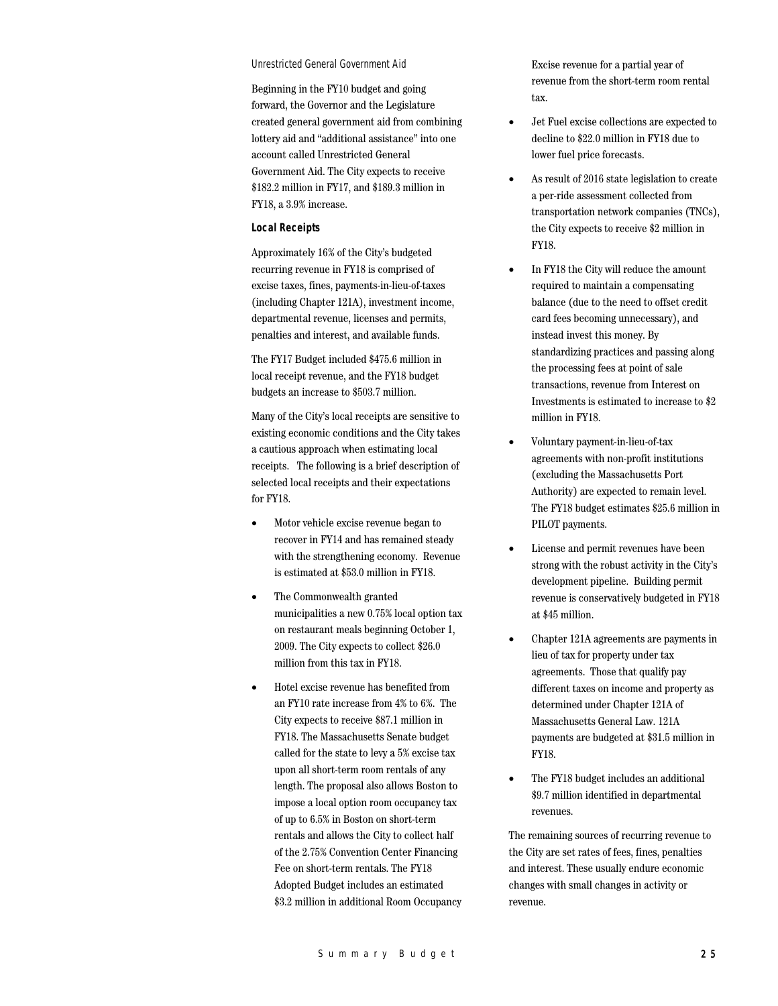#### Unrestricted General Government Aid

Beginning in the FY10 budget and going forward, the Governor and the Legislature created general government aid from combining lottery aid and "additional assistance" into one account called Unrestricted General Government Aid. The City expects to receive \$182.2 million in FY17, and \$189.3 million in FY18, a 3.9% increase.

#### **Local Receipts**

Approximately 16% of the City's budgeted recurring revenue in FY18 is comprised of excise taxes, fines, payments-in-lieu-of-taxes (including Chapter 121A), investment income, departmental revenue, licenses and permits, penalties and interest, and available funds.

The FY17 Budget included \$475.6 million in local receipt revenue, and the FY18 budget budgets an increase to \$503.7 million.

Many of the City's local receipts are sensitive to existing economic conditions and the City takes a cautious approach when estimating local receipts. The following is a brief description of selected local receipts and their expectations for FY18.

- Motor vehicle excise revenue began to recover in FY14 and has remained steady with the strengthening economy. Revenue is estimated at \$53.0 million in FY18.
- The Commonwealth granted municipalities a new 0.75% local option tax on restaurant meals beginning October 1, 2009. The City expects to collect \$26.0 million from this tax in FY18.
- Hotel excise revenue has benefited from an FY10 rate increase from 4% to 6%. The City expects to receive \$87.1 million in FY18. The Massachusetts Senate budget called for the state to levy a 5% excise tax upon all short-term room rentals of any length. The proposal also allows Boston to impose a local option room occupancy tax of up to 6.5% in Boston on short-term rentals and allows the City to collect half of the 2.75% Convention Center Financing Fee on short-term rentals. The FY18 Adopted Budget includes an estimated \$3.2 million in additional Room Occupancy

Excise revenue for a partial year of revenue from the short-term room rental tax.

- Jet Fuel excise collections are expected to decline to \$22.0 million in FY18 due to lower fuel price forecasts.
- As result of 2016 state legislation to create a per-ride assessment collected from transportation network companies (TNCs), the City expects to receive \$2 million in FY18.
- In FY18 the City will reduce the amount required to maintain a compensating balance (due to the need to offset credit card fees becoming unnecessary), and instead invest this money. By standardizing practices and passing along the processing fees at point of sale transactions, revenue from Interest on Investments is estimated to increase to \$2 million in FY18.
- Voluntary payment-in-lieu-of-tax agreements with non-profit institutions (excluding the Massachusetts Port Authority) are expected to remain level. The FY18 budget estimates \$25.6 million in PILOT payments.
- License and permit revenues have been strong with the robust activity in the City's development pipeline. Building permit revenue is conservatively budgeted in FY18 at \$45 million.
- Chapter 121A agreements are payments in lieu of tax for property under tax agreements. Those that qualify pay different taxes on income and property as determined under Chapter 121A of Massachusetts General Law. 121A payments are budgeted at \$31.5 million in FY18.
- The FY18 budget includes an additional \$9.7 million identified in departmental revenues.

The remaining sources of recurring revenue to the City are set rates of fees, fines, penalties and interest. These usually endure economic changes with small changes in activity or revenue.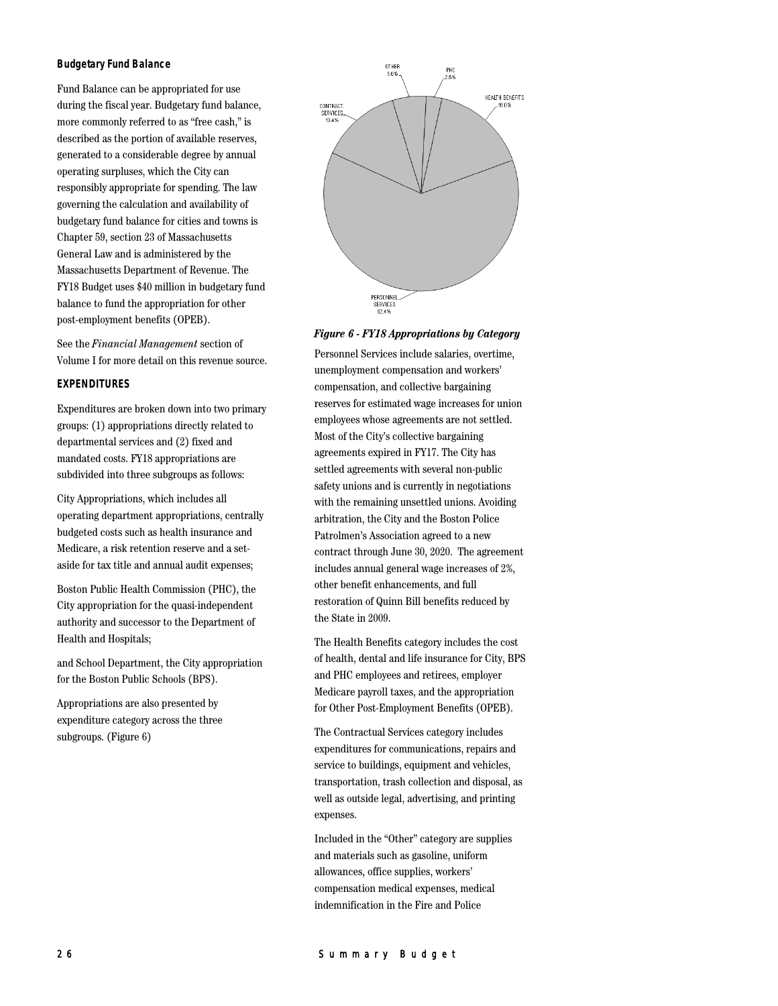#### **Budgetary Fund Balance**

Fund Balance can be appropriated for use during the fiscal year. Budgetary fund balance, more commonly referred to as "free cash," is described as the portion of available reserves, generated to a considerable degree by annual operating surpluses, which the City can responsibly appropriate for spending. The law governing the calculation and availability of budgetary fund balance for cities and towns is Chapter 59, section 23 of Massachusetts General Law and is administered by the Massachusetts Department of Revenue. The FY18 Budget uses \$40 million in budgetary fund balance to fund the appropriation for other post-employment benefits (OPEB).

See the *Financial Management* section of Volume I for more detail on this revenue source.

## **EXPENDITURES**

Expenditures are broken down into two primary groups: (1) appropriations directly related to departmental services and (2) fixed and mandated costs. FY18 appropriations are subdivided into three subgroups as follows:

City Appropriations, which includes all operating department appropriations, centrally budgeted costs such as health insurance and Medicare, a risk retention reserve and a setaside for tax title and annual audit expenses;

Boston Public Health Commission (PHC), the City appropriation for the quasi-independent authority and successor to the Department of Health and Hospitals;

and School Department, the City appropriation for the Boston Public Schools (BPS).

Appropriations are also presented by expenditure category across the three subgroups. (Figure 6)



# *Figure 6 - FY18 Appropriations by Category*

Personnel Services include salaries, overtime, unemployment compensation and workers' compensation, and collective bargaining reserves for estimated wage increases for union employees whose agreements are not settled. Most of the City's collective bargaining agreements expired in FY17. The City has settled agreements with several non-public safety unions and is currently in negotiations with the remaining unsettled unions. Avoiding arbitration, the City and the Boston Police Patrolmen's Association agreed to a new contract through June 30, 2020. The agreement includes annual general wage increases of 2%, other benefit enhancements, and full restoration of Quinn Bill benefits reduced by the State in 2009.

The Health Benefits category includes the cost of health, dental and life insurance for City, BPS and PHC employees and retirees, employer Medicare payroll taxes, and the appropriation for Other Post-Employment Benefits (OPEB).

The Contractual Services category includes expenditures for communications, repairs and service to buildings, equipment and vehicles, transportation, trash collection and disposal, as well as outside legal, advertising, and printing expenses.

Included in the "Other" category are supplies and materials such as gasoline, uniform allowances, office supplies, workers' compensation medical expenses, medical indemnification in the Fire and Police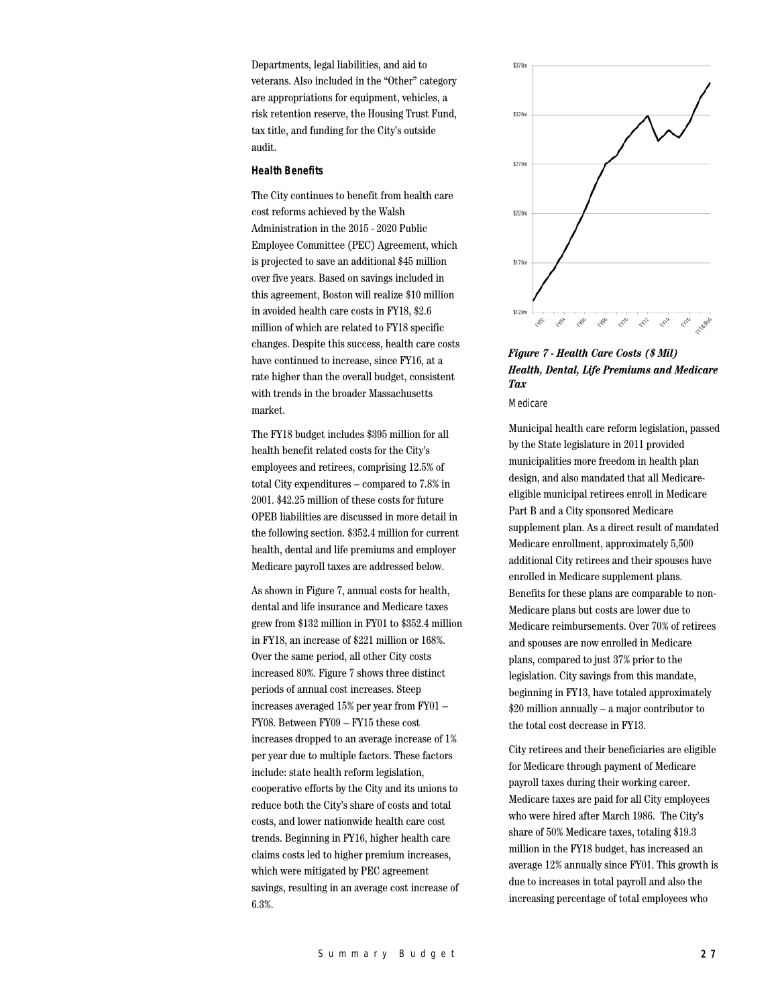Departments, legal liabilities, and aid to veterans. Also included in the "Other" category are appropriations for equipment, vehicles, a risk retention reserve, the Housing Trust Fund, tax title, and funding for the City's outside audit.

#### **Health Benefits**

The City continues to benefit from health care cost reforms achieved by the Walsh Administration in the 2015 - 2020 Public Employee Committee (PEC) Agreement, which is projected to save an additional \$45 million over five years. Based on savings included in this agreement, Boston will realize \$10 million in avoided health care costs in FY18, \$2.6 million of which are related to FY18 specific changes. Despite this success, health care costs have continued to increase, since FY16, at a rate higher than the overall budget, consistent with trends in the broader Massachusetts market.

The FY18 budget includes \$395 million for all health benefit related costs for the City's employees and retirees, comprising 12.5% of total City expenditures – compared to 7.8% in 2001. \$42.25 million of these costs for future OPEB liabilities are discussed in more detail in the following section. \$352.4 million for current health, dental and life premiums and employer Medicare payroll taxes are addressed below.

As shown in Figure 7, annual costs for health, dental and life insurance and Medicare taxes grew from \$132 million in FY01 to \$352.4 million in FY18, an increase of \$221 million or 168%. Over the same period, all other City costs increased 80%. Figure 7 shows three distinct periods of annual cost increases. Steep increases averaged 15% per year from FY01 – FY08. Between FY09 – FY15 these cost increases dropped to an average increase of 1% per year due to multiple factors. These factors include: state health reform legislation, cooperative efforts by the City and its unions to reduce both the City's share of costs and total costs, and lower nationwide health care cost trends. Beginning in FY16, higher health care claims costs led to higher premium increases, which were mitigated by PEC agreement savings, resulting in an average cost increase of 6.3%.



*Figure 7 - Health Care Costs (\$ Mil) Health, Dental, Life Premiums and Medicare Tax*

Medicare

Municipal health care reform legislation, passed by the State legislature in 2011 provided municipalities more freedom in health plan design, and also mandated that all Medicareeligible municipal retirees enroll in Medicare Part B and a City sponsored Medicare supplement plan. As a direct result of mandated Medicare enrollment, approximately 5,500 additional City retirees and their spouses have enrolled in Medicare supplement plans. Benefits for these plans are comparable to non-Medicare plans but costs are lower due to Medicare reimbursements. Over 70% of retirees and spouses are now enrolled in Medicare plans, compared to just 37% prior to the legislation. City savings from this mandate, beginning in FY13, have totaled approximately \$20 million annually – a major contributor to the total cost decrease in FY13.

City retirees and their beneficiaries are eligible for Medicare through payment of Medicare payroll taxes during their working career. Medicare taxes are paid for all City employees who were hired after March 1986. The City's share of 50% Medicare taxes, totaling \$19.3 million in the FY18 budget, has increased an average 12% annually since FY01. This growth is due to increases in total payroll and also the increasing percentage of total employees who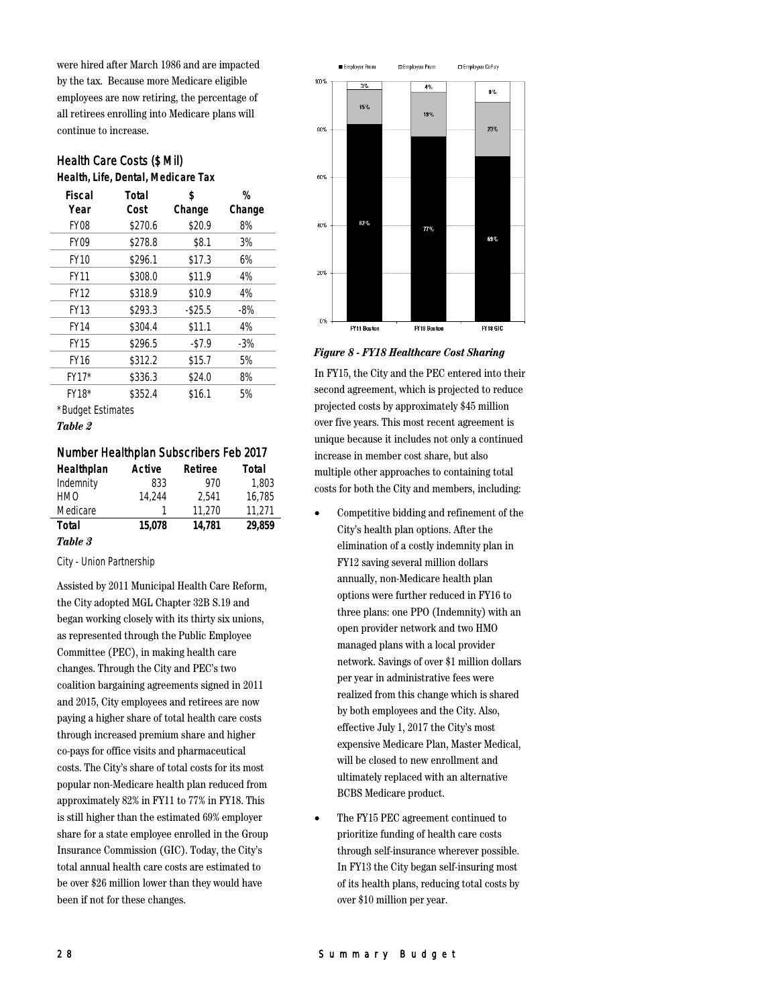were hired after March 1986 and are impacted by the tax. Because more Medicare eligible employees are now retiring, the percentage of all retirees enrolling into Medicare plans will continue to increase.

# Health Care Costs (\$ Mil)

**Health, Life, Dental, Medicare Tax**

| <b>Fiscal</b>     | Total   | \$         | %      |
|-------------------|---------|------------|--------|
| Year              | Cost    | Change     | Change |
| <b>FY08</b>       | \$270.6 | \$20.9     | 8%     |
| <b>FY09</b>       | \$278.8 | \$8.1      | 3%     |
| <b>FY10</b>       | \$296.1 | \$17.3     | 6%     |
| <b>FY11</b>       | \$308.0 | \$11.9     | 4%     |
| <b>FY12</b>       | \$318.9 | \$10.9     | 4%     |
| <b>FY13</b>       | \$293.3 | $-$ \$25.5 | -8%    |
| <b>FY14</b>       | \$304.4 | \$11.1     | 4%     |
| <b>FY15</b>       | \$296.5 | $-57.9$    | -3%    |
| <b>FY16</b>       | \$312.2 | \$15.7     | 5%     |
| FY17*             | \$336.3 | \$24.0     | 8%     |
| FY18*             | \$352.4 | \$16.1     | 5%     |
| *Dudaot Estimatos |         |            |        |

\*Budget Estimates

## *Table 2*

#### Number Healthplan Subscribers Feb 2017

| Healthplan | Active | Retiree | Total  |
|------------|--------|---------|--------|
| Indemnity  | 833    | 970     | 1.803  |
| <b>HMO</b> | 14.244 | 2.541   | 16.785 |
| Medicare   |        | 11.270  | 11.271 |
| Total      | 15.078 | 14.781  | 29.859 |
| Table 3    |        |         |        |

# City - Union Partnership

Assisted by 2011 Municipal Health Care Reform, the City adopted MGL Chapter 32B S.19 and began working closely with its thirty six unions, as represented through the Public Employee Committee (PEC), in making health care changes. Through the City and PEC's two coalition bargaining agreements signed in 2011 and 2015, City employees and retirees are now paying a higher share of total health care costs through increased premium share and higher co-pays for office visits and pharmaceutical costs. The City's share of total costs for its most popular non-Medicare health plan reduced from approximately 82% in FY11 to 77% in FY18. This is still higher than the estimated 69% employer share for a state employee enrolled in the Group Insurance Commission (GIC). Today, the City's total annual health care costs are estimated to be over \$26 million lower than they would have been if not for these changes.



#### *Figure 8 - FY18 Healthcare Cost Sharing*

In FY15, the City and the PEC entered into their second agreement, which is projected to reduce projected costs by approximately \$45 million over five years. This most recent agreement is unique because it includes not only a continued increase in member cost share, but also multiple other approaches to containing total costs for both the City and members, including:

- Competitive bidding and refinement of the City's health plan options. After the elimination of a costly indemnity plan in FY12 saving several million dollars annually, non-Medicare health plan options were further reduced in FY16 to three plans: one PPO (Indemnity) with an open provider network and two HMO managed plans with a local provider network. Savings of over \$1 million dollars per year in administrative fees were realized from this change which is shared by both employees and the City. Also, effective July 1, 2017 the City's most expensive Medicare Plan, Master Medical, will be closed to new enrollment and ultimately replaced with an alternative BCBS Medicare product.
- The FY15 PEC agreement continued to prioritize funding of health care costs through self-insurance wherever possible. In FY13 the City began self-insuring most of its health plans, reducing total costs by over \$10 million per year.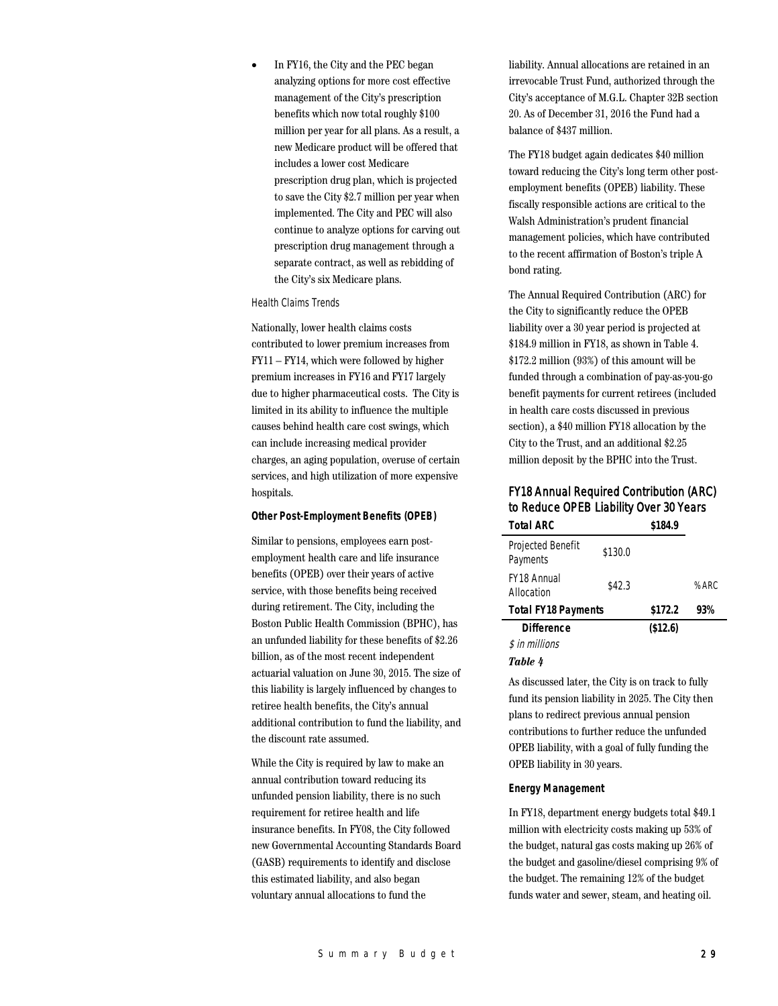In FY16, the City and the PEC began analyzing options for more cost effective management of the City's prescription benefits which now total roughly \$100 million per year for all plans. As a result, a new Medicare product will be offered that includes a lower cost Medicare prescription drug plan, which is projected to save the City \$2.7 million per year when implemented. The City and PEC will also continue to analyze options for carving out prescription drug management through a separate contract, as well as rebidding of the City's six Medicare plans.

#### Health Claims Trends

Nationally, lower health claims costs contributed to lower premium increases from FY11 – FY14, which were followed by higher premium increases in FY16 and FY17 largely due to higher pharmaceutical costs. The City is limited in its ability to influence the multiple causes behind health care cost swings, which can include increasing medical provider charges, an aging population, overuse of certain services, and high utilization of more expensive hospitals.

#### **Other Post-Employment Benefits (OPEB)**

Similar to pensions, employees earn postemployment health care and life insurance benefits (OPEB) over their years of active service, with those benefits being received during retirement. The City, including the Boston Public Health Commission (BPHC), has an unfunded liability for these benefits of \$2.26 billion, as of the most recent independent actuarial valuation on June 30, 2015. The size of this liability is largely influenced by changes to retiree health benefits, the City's annual additional contribution to fund the liability, and the discount rate assumed.

While the City is required by law to make an annual contribution toward reducing its unfunded pension liability, there is no such requirement for retiree health and life insurance benefits. In FY08, the City followed new Governmental Accounting Standards Board (GASB) requirements to identify and disclose this estimated liability, and also began voluntary annual allocations to fund the

liability. Annual allocations are retained in an irrevocable Trust Fund, authorized through the City's acceptance of M.G.L. Chapter 32B section 20. As of December 31, 2016 the Fund had a balance of \$437 million.

The FY18 budget again dedicates \$40 million toward reducing the City's long term other postemployment benefits (OPEB) liability. These fiscally responsible actions are critical to the Walsh Administration's prudent financial management policies, which have contributed to the recent affirmation of Boston's triple A bond rating.

The Annual Required Contribution (ARC) for the City to significantly reduce the OPEB liability over a 30 year period is projected at \$184.9 million in FY18, as shown in Table 4. \$172.2 million (93%) of this amount will be funded through a combination of pay-as-you-go benefit payments for current retirees (included in health care costs discussed in previous section), a \$40 million FY18 allocation by the City to the Trust, and an additional \$2.25 million deposit by the BPHC into the Trust.

# FY18 Annual Required Contribution (ARC) to Reduce OPEB Liability Over 30 Years

| <b>Total ARC</b>                 |         | \$184.9  |      |
|----------------------------------|---------|----------|------|
| Projected Benefit<br>Payments    | \$130.0 |          |      |
| <b>FY18 Annual</b><br>Allocation | \$42.3  |          | %ARC |
| <b>Total FY18 Payments</b>       |         | \$172.2  | 93%  |
| <b>Difference</b>                |         | (\$12.6) |      |
| \$ in millions                   |         |          |      |
|                                  |         |          |      |

#### *Table 4*

As discussed later, the City is on track to fully fund its pension liability in 2025. The City then plans to redirect previous annual pension contributions to further reduce the unfunded OPEB liability, with a goal of fully funding the OPEB liability in 30 years.

#### **Energy Management**

In FY18, department energy budgets total \$49.1 million with electricity costs making up 53% of the budget, natural gas costs making up 26% of the budget and gasoline/diesel comprising 9% of the budget. The remaining 12% of the budget funds water and sewer, steam, and heating oil.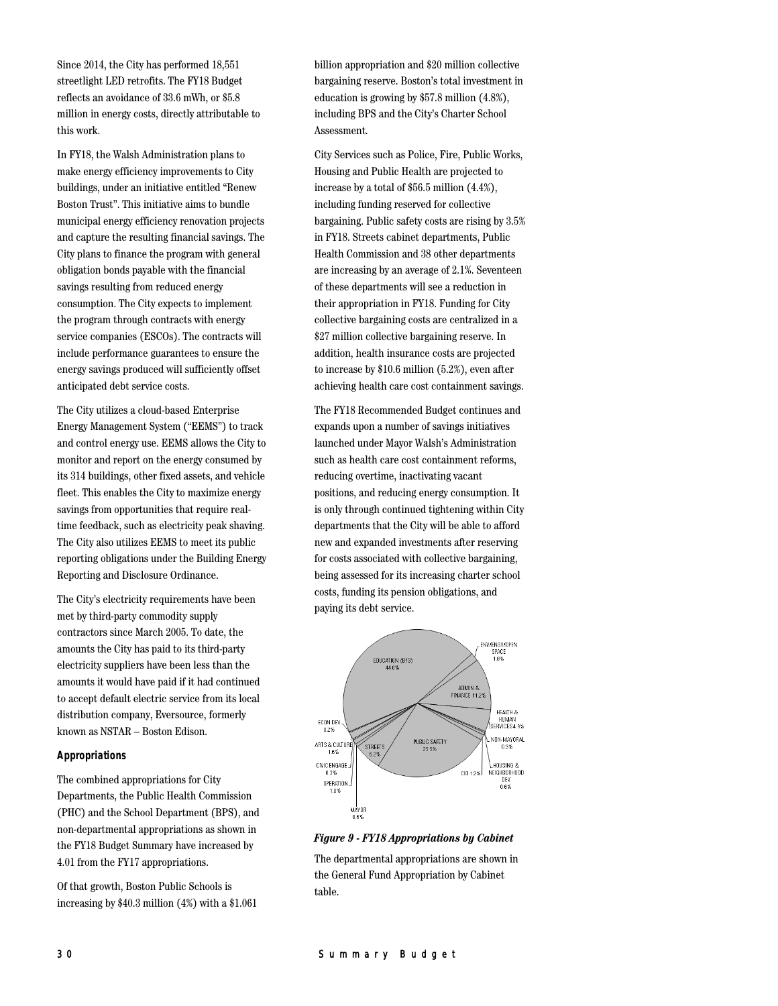Since 2014, the City has performed 18,551 streetlight LED retrofits. The FY18 Budget reflects an avoidance of 33.6 mWh, or \$5.8 million in energy costs, directly attributable to this work.

In FY18, the Walsh Administration plans to make energy efficiency improvements to City buildings, under an initiative entitled "Renew Boston Trust". This initiative aims to bundle municipal energy efficiency renovation projects and capture the resulting financial savings. The City plans to finance the program with general obligation bonds payable with the financial savings resulting from reduced energy consumption. The City expects to implement the program through contracts with energy service companies (ESCOs). The contracts will include performance guarantees to ensure the energy savings produced will sufficiently offset anticipated debt service costs.

The City utilizes a cloud-based Enterprise Energy Management System ("EEMS") to track and control energy use. EEMS allows the City to monitor and report on the energy consumed by its 314 buildings, other fixed assets, and vehicle fleet. This enables the City to maximize energy savings from opportunities that require realtime feedback, such as electricity peak shaving. The City also utilizes EEMS to meet its public reporting obligations under the Building Energy Reporting and Disclosure Ordinance.

The City's electricity requirements have been met by third-party commodity supply contractors since March 2005. To date, the amounts the City has paid to its third-party electricity suppliers have been less than the amounts it would have paid if it had continued to accept default electric service from its local distribution company, Eversource, formerly known as NSTAR – Boston Edison.

#### **Appropriations**

The combined appropriations for City Departments, the Public Health Commission (PHC) and the School Department (BPS), and non-departmental appropriations as shown in the FY18 Budget Summary have increased by 4.01 from the FY17 appropriations.

Of that growth, Boston Public Schools is increasing by \$40.3 million (4%) with a \$1.061 billion appropriation and \$20 million collective bargaining reserve. Boston's total investment in education is growing by \$57.8 million (4.8%), including BPS and the City's Charter School Assessment.

City Services such as Police, Fire, Public Works, Housing and Public Health are projected to increase by a total of \$56.5 million (4.4%), including funding reserved for collective bargaining. Public safety costs are rising by 3.5% in FY18. Streets cabinet departments, Public Health Commission and 38 other departments are increasing by an average of 2.1%. Seventeen of these departments will see a reduction in their appropriation in FY18. Funding for City collective bargaining costs are centralized in a \$27 million collective bargaining reserve. In addition, health insurance costs are projected to increase by \$10.6 million (5.2%), even after achieving health care cost containment savings.

The FY18 Recommended Budget continues and expands upon a number of savings initiatives launched under Mayor Walsh's Administration such as health care cost containment reforms, reducing overtime, inactivating vacant positions, and reducing energy consumption. It is only through continued tightening within City departments that the City will be able to afford new and expanded investments after reserving for costs associated with collective bargaining, being assessed for its increasing charter school costs, funding its pension obligations, and paying its debt service.





The departmental appropriations are shown in the General Fund Appropriation by Cabinet table.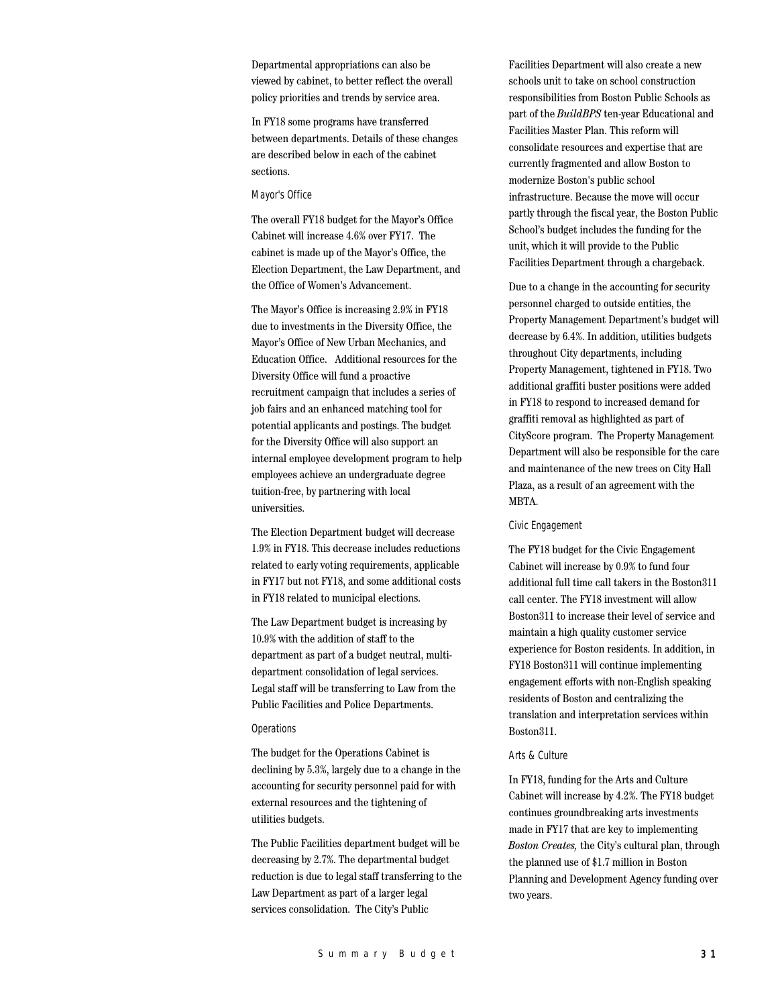Departmental appropriations can also be viewed by cabinet, to better reflect the overall policy priorities and trends by service area.

In FY18 some programs have transferred between departments. Details of these changes are described below in each of the cabinet sections.

#### Mayor's Office

The overall FY18 budget for the Mayor's Office Cabinet will increase 4.6% over FY17. The cabinet is made up of the Mayor's Office, the Election Department, the Law Department, and the Office of Women's Advancement.

The Mayor's Office is increasing 2.9% in FY18 due to investments in the Diversity Office, the Mayor's Office of New Urban Mechanics, and Education Office. Additional resources for the Diversity Office will fund a proactive recruitment campaign that includes a series of job fairs and an enhanced matching tool for potential applicants and postings. The budget for the Diversity Office will also support an internal employee development program to help employees achieve an undergraduate degree tuition-free, by partnering with local universities.

The Election Department budget will decrease 1.9% in FY18. This decrease includes reductions related to early voting requirements, applicable in FY17 but not FY18, and some additional costs in FY18 related to municipal elections.

The Law Department budget is increasing by 10.9% with the addition of staff to the department as part of a budget neutral, multidepartment consolidation of legal services. Legal staff will be transferring to Law from the Public Facilities and Police Departments.

#### **Operations**

The budget for the Operations Cabinet is declining by 5.3%, largely due to a change in the accounting for security personnel paid for with external resources and the tightening of utilities budgets.

The Public Facilities department budget will be decreasing by 2.7%. The departmental budget reduction is due to legal staff transferring to the Law Department as part of a larger legal services consolidation. The City's Public

Facilities Department will also create a new schools unit to take on school construction responsibilities from Boston Public Schools as part of the *BuildBPS* ten-year Educational and Facilities Master Plan. This reform will consolidate resources and expertise that are currently fragmented and allow Boston to modernize Boston's public school infrastructure. Because the move will occur partly through the fiscal year, the Boston Public School's budget includes the funding for the unit, which it will provide to the Public Facilities Department through a chargeback.

Due to a change in the accounting for security personnel charged to outside entities, the Property Management Department's budget will decrease by 6.4%. In addition, utilities budgets throughout City departments, including Property Management, tightened in FY18. Two additional graffiti buster positions were added in FY18 to respond to increased demand for graffiti removal as highlighted as part of CityScore program. The Property Management Department will also be responsible for the care and maintenance of the new trees on City Hall Plaza, as a result of an agreement with the MBTA.

#### Civic Engagement

The FY18 budget for the Civic Engagement Cabinet will increase by 0.9% to fund four additional full time call takers in the Boston311 call center. The FY18 investment will allow Boston311 to increase their level of service and maintain a high quality customer service experience for Boston residents. In addition, in FY18 Boston311 will continue implementing engagement efforts with non-English speaking residents of Boston and centralizing the translation and interpretation services within Boston311.

#### Arts & Culture

In FY18, funding for the Arts and Culture Cabinet will increase by 4.2%. The FY18 budget continues groundbreaking arts investments made in FY17 that are key to implementing *Boston Creates,* the City's cultural plan, through the planned use of \$1.7 million in Boston Planning and Development Agency funding over two years.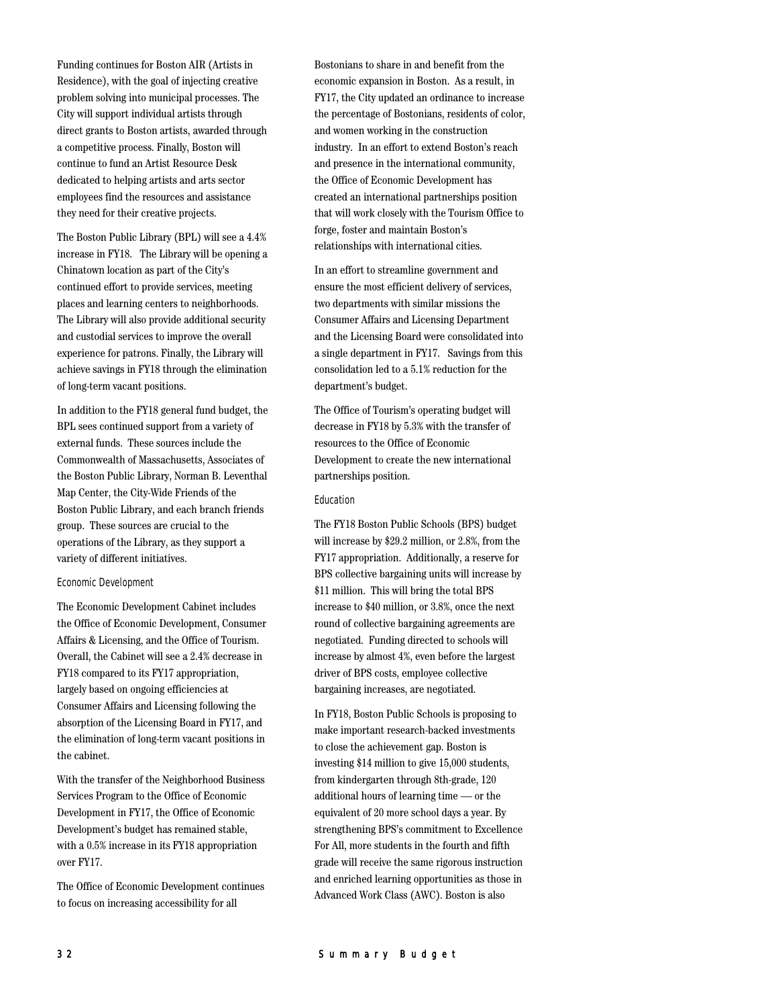Funding continues for Boston AIR (Artists in Residence), with the goal of injecting creative problem solving into municipal processes. The City will support individual artists through direct grants to Boston artists, awarded through a competitive process. Finally, Boston will continue to fund an Artist Resource Desk dedicated to helping artists and arts sector employees find the resources and assistance they need for their creative projects.

The Boston Public Library (BPL) will see a 4.4% increase in FY18. The Library will be opening a Chinatown location as part of the City's continued effort to provide services, meeting places and learning centers to neighborhoods. The Library will also provide additional security and custodial services to improve the overall experience for patrons. Finally, the Library will achieve savings in FY18 through the elimination of long-term vacant positions.

In addition to the FY18 general fund budget, the BPL sees continued support from a variety of external funds. These sources include the Commonwealth of Massachusetts, Associates of the Boston Public Library, Norman B. Leventhal Map Center, the City-Wide Friends of the Boston Public Library, and each branch friends group. These sources are crucial to the operations of the Library, as they support a variety of different initiatives.

#### Economic Development

The Economic Development Cabinet includes the Office of Economic Development, Consumer Affairs & Licensing, and the Office of Tourism. Overall, the Cabinet will see a 2.4% decrease in FY18 compared to its FY17 appropriation, largely based on ongoing efficiencies at Consumer Affairs and Licensing following the absorption of the Licensing Board in FY17, and the elimination of long-term vacant positions in the cabinet.

With the transfer of the Neighborhood Business Services Program to the Office of Economic Development in FY17, the Office of Economic Development's budget has remained stable, with a 0.5% increase in its FY18 appropriation over FY17.

The Office of Economic Development continues to focus on increasing accessibility for all

Bostonians to share in and benefit from the economic expansion in Boston. As a result, in FY17, the City updated an ordinance to increase the percentage of Bostonians, residents of color, and women working in the construction industry. In an effort to extend Boston's reach and presence in the international community, the Office of Economic Development has created an international partnerships position that will work closely with the Tourism Office to forge, foster and maintain Boston's relationships with international cities.

In an effort to streamline government and ensure the most efficient delivery of services, two departments with similar missions the Consumer Affairs and Licensing Department and the Licensing Board were consolidated into a single department in FY17. Savings from this consolidation led to a 5.1% reduction for the department's budget.

The Office of Tourism's operating budget will decrease in FY18 by 5.3% with the transfer of resources to the Office of Economic Development to create the new international partnerships position.

#### Education

The FY18 Boston Public Schools (BPS) budget will increase by \$29.2 million, or 2.8%, from the FY17 appropriation. Additionally, a reserve for BPS collective bargaining units will increase by \$11 million. This will bring the total BPS increase to \$40 million, or 3.8%, once the next round of collective bargaining agreements are negotiated. Funding directed to schools will increase by almost 4%, even before the largest driver of BPS costs, employee collective bargaining increases, are negotiated.

In FY18, Boston Public Schools is proposing to make important research-backed investments to close the achievement gap. Boston is investing \$14 million to give 15,000 students, from kindergarten through 8th-grade, 120 additional hours of learning time — or the equivalent of 20 more school days a year. By strengthening BPS's commitment to Excellence For All, more students in the fourth and fifth grade will receive the same rigorous instruction and enriched learning opportunities as those in Advanced Work Class (AWC). Boston is also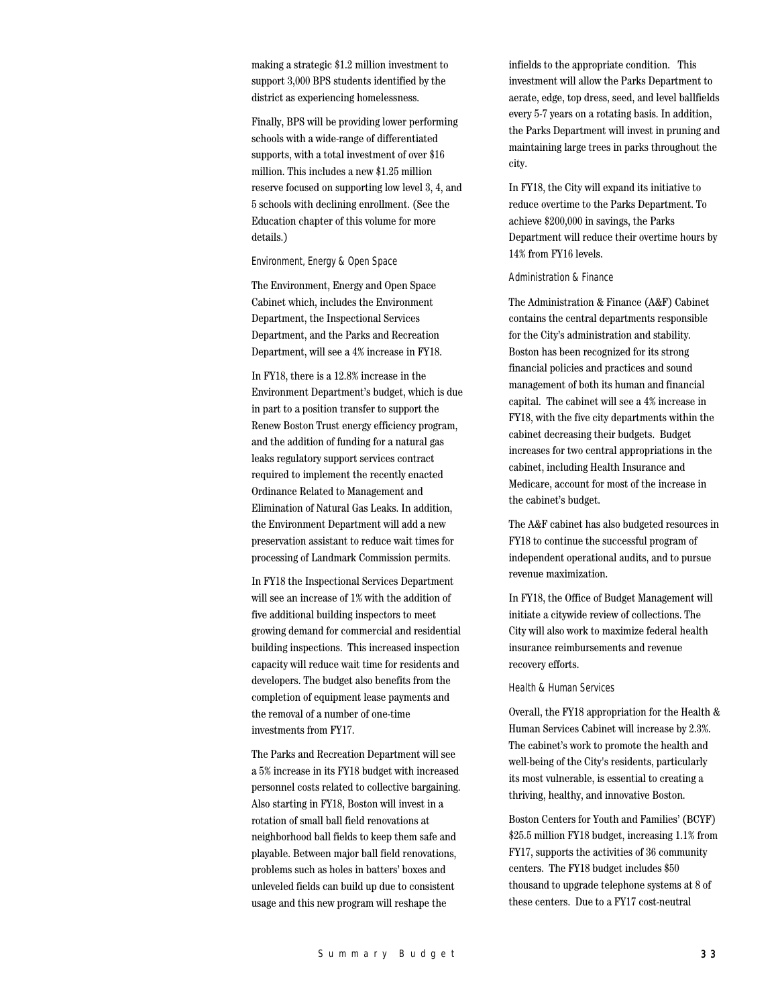making a strategic \$1.2 million investment to support 3,000 BPS students identified by the district as experiencing homelessness.

Finally, BPS will be providing lower performing schools with a wide-range of differentiated supports, with a total investment of over \$16 million. This includes a new \$1.25 million reserve focused on supporting low level 3, 4, and 5 schools with declining enrollment. (See the Education chapter of this volume for more details.)

#### Environment, Energy & Open Space

The Environment, Energy and Open Space Cabinet which, includes the Environment Department, the Inspectional Services Department, and the Parks and Recreation Department, will see a 4% increase in FY18.

In FY18, there is a 12.8% increase in the Environment Department's budget, which is due in part to a position transfer to support the Renew Boston Trust energy efficiency program, and the addition of funding for a natural gas leaks regulatory support services contract required to implement the recently enacted Ordinance Related to Management and Elimination of Natural Gas Leaks. In addition, the Environment Department will add a new preservation assistant to reduce wait times for processing of Landmark Commission permits.

In FY18 the Inspectional Services Department will see an increase of 1% with the addition of five additional building inspectors to meet growing demand for commercial and residential building inspections. This increased inspection capacity will reduce wait time for residents and developers. The budget also benefits from the completion of equipment lease payments and the removal of a number of one-time investments from FY17.

The Parks and Recreation Department will see a 5% increase in its FY18 budget with increased personnel costs related to collective bargaining. Also starting in FY18, Boston will invest in a rotation of small ball field renovations at neighborhood ball fields to keep them safe and playable. Between major ball field renovations, problems such as holes in batters' boxes and unleveled fields can build up due to consistent usage and this new program will reshape the

infields to the appropriate condition. This investment will allow the Parks Department to aerate, edge, top dress, seed, and level ballfields every 5-7 years on a rotating basis. In addition, the Parks Department will invest in pruning and maintaining large trees in parks throughout the city.

In FY18, the City will expand its initiative to reduce overtime to the Parks Department. To achieve \$200,000 in savings, the Parks Department will reduce their overtime hours by 14% from FY16 levels.

#### Administration & Finance

The Administration & Finance (A&F) Cabinet contains the central departments responsible for the City's administration and stability. Boston has been recognized for its strong financial policies and practices and sound management of both its human and financial capital. The cabinet will see a 4% increase in FY18, with the five city departments within the cabinet decreasing their budgets. Budget increases for two central appropriations in the cabinet, including Health Insurance and Medicare, account for most of the increase in the cabinet's budget.

The A&F cabinet has also budgeted resources in FY18 to continue the successful program of independent operational audits, and to pursue revenue maximization.

In FY18, the Office of Budget Management will initiate a citywide review of collections. The City will also work to maximize federal health insurance reimbursements and revenue recovery efforts.

Health & Human Services

Overall, the FY18 appropriation for the Health & Human Services Cabinet will increase by 2.3%. The cabinet's work to promote the health and well-being of the City's residents, particularly its most vulnerable, is essential to creating a thriving, healthy, and innovative Boston.

Boston Centers for Youth and Families' (BCYF) \$25.5 million FY18 budget, increasing 1.1% from FY17, supports the activities of 36 community centers. The FY18 budget includes \$50 thousand to upgrade telephone systems at 8 of these centers. Due to a FY17 cost-neutral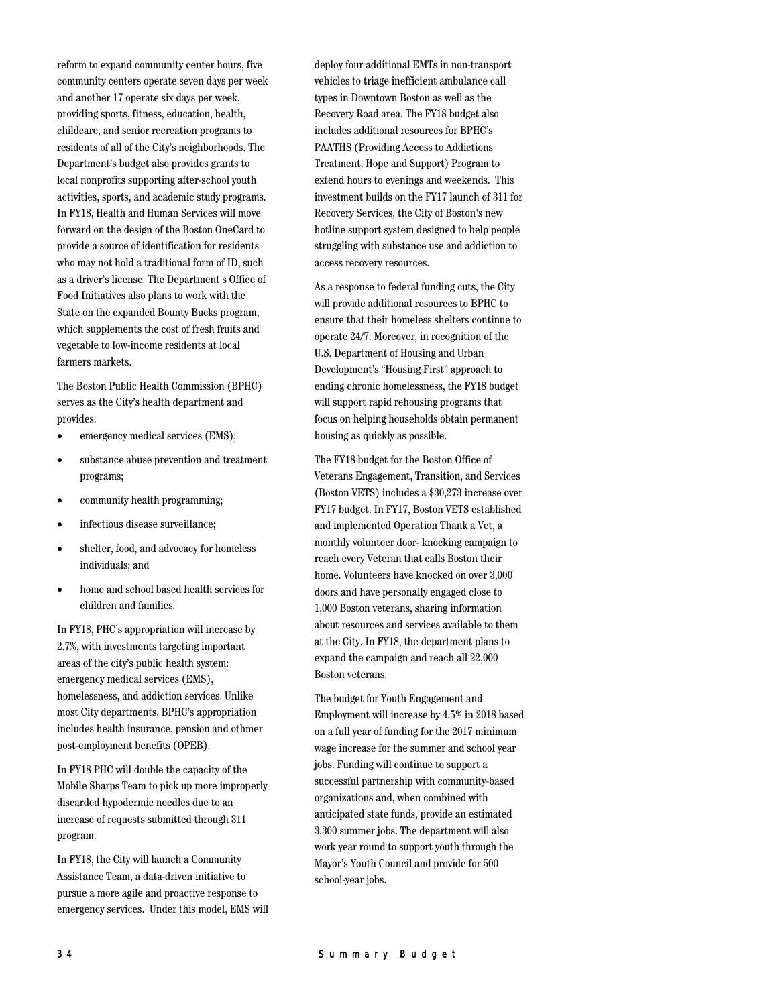reform to expand community center hours, five community centers operate seven days per week and another 17 operate six days per week, providing sports, fitness, education, health, childcare, and senior recreation programs to residents of all of the City's neighborhoods. The Department's budget also provides grants to local nonprofits supporting after-school youth activities, sports, and academic study programs. In FY18, Health and Human Services will move forward on the design of the Boston OneCard to provide a source of identification for residents who may not hold a traditional form of ID, such as a driver's license. The Department's Office of Food Initiatives also plans to work with the State on the expanded Bounty Bucks program, which supplements the cost of fresh fruits and vegetable to low-income residents at local farmers markets.

The Boston Public Health Commission (BPHC) serves as the City's health department and provides:

- emergency medical services (EMS);
- substance abuse prevention and treatment programs;
- community health programming;
- infectious disease surveillance;
- shelter, food, and advocacy for homeless individuals; and
- home and school based health services for children and families.

In FY18, PHC's appropriation will increase by 2.7%, with investments targeting important areas of the city's public health system: emergency medical services (EMS), homelessness, and addiction services. Unlike most City departments, BPHC's appropriation includes health insurance, pension and othmer post-employment benefits (OPEB).

In FY18 PHC will double the capacity of the Mobile Sharps Team to pick up more improperly discarded hypodermic needles due to an increase of requests submitted through 311 program.

In FY18, the City will launch a Community Assistance Team, a data-driven initiative to pursue a more agile and proactive response to emergency services. Under this model, EMS will deploy four additional EMTs in non-transport vehicles to triage inefficient ambulance call types in Downtown Boston as well as the Recovery Road area. The FY18 budget also includes additional resources for BPHC's PAATHS (Providing Access to Addictions Treatment, Hope and Support) Program to extend hours to evenings and weekends. This investment builds on the FY17 launch of 311 for Recovery Services, the City of Boston's new hotline support system designed to help people struggling with substance use and addiction to access recovery resources.

As a response to federal funding cuts, the City will provide additional resources to BPHC to ensure that their homeless shelters continue to operate 24/7. Moreover, in recognition of the U.S. Department of Housing and Urban Development's "Housing First" approach to ending chronic homelessness, the FY18 budget will support rapid rehousing programs that focus on helping households obtain permanent housing as quickly as possible.

The FY18 budget for the Boston Office of Veterans Engagement, Transition, and Services (Boston VETS) includes a \$30,273 increase over FY17 budget. In FY17, Boston VETS established and implemented Operation Thank a Vet, a monthly volunteer door- knocking campaign to reach every Veteran that calls Boston their home. Volunteers have knocked on over 3,000 doors and have personally engaged close to 1,000 Boston veterans, sharing information about resources and services available to them at the City. In FY18, the department plans to expand the campaign and reach all 22,000 Boston veterans.

The budget for Youth Engagement and Employment will increase by 4.5% in 2018 based on a full year of funding for the 2017 minimum wage increase for the summer and school year jobs. Funding will continue to support a successful partnership with community-based organizations and, when combined with anticipated state funds, provide an estimated 3,300 summer jobs. The department will also work year round to support youth through the Mayor's Youth Council and provide for 500 school-year jobs.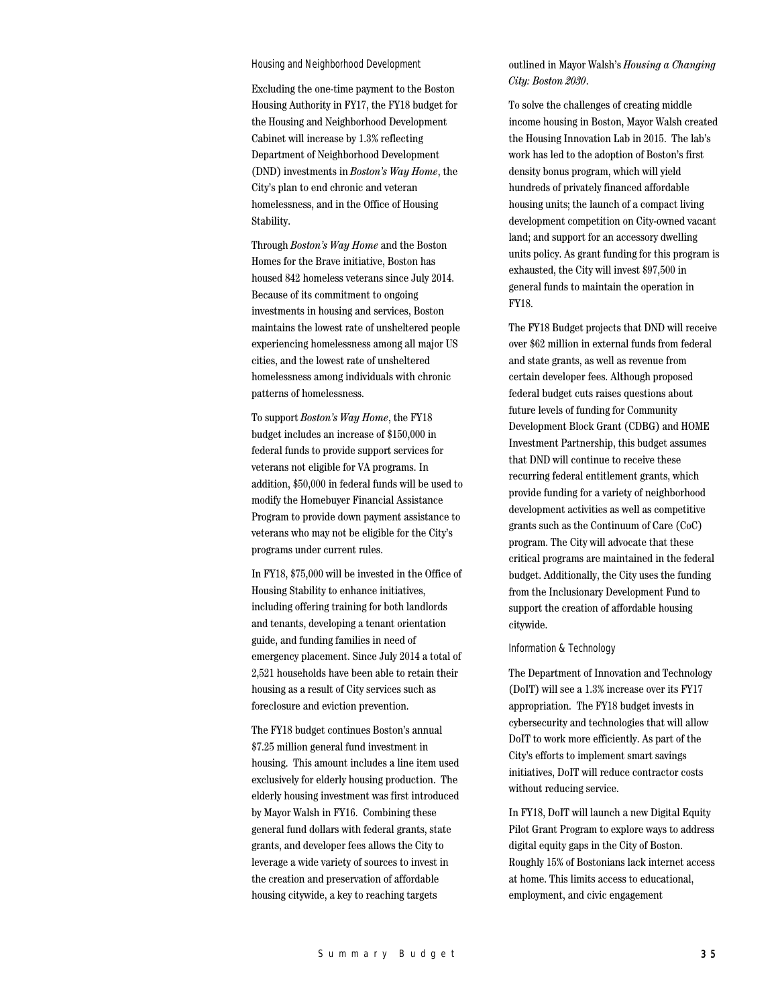#### Housing and Neighborhood Development

Excluding the one-time payment to the Boston Housing Authority in FY17, the FY18 budget for the Housing and Neighborhood Development Cabinet will increase by 1.3% reflecting Department of Neighborhood Development (DND) investments in *Boston's Way Home*, the City's plan to end chronic and veteran homelessness, and in the Office of Housing Stability.

Through *Boston's Way Home* and the Boston Homes for the Brave initiative, Boston has housed 842 homeless veterans since July 2014. Because of its commitment to ongoing investments in housing and services, Boston maintains the lowest rate of unsheltered people experiencing homelessness among all major US cities, and the lowest rate of unsheltered homelessness among individuals with chronic patterns of homelessness.

To support *Boston's Way Home*, the FY18 budget includes an increase of \$150,000 in federal funds to provide support services for veterans not eligible for VA programs. In addition, \$50,000 in federal funds will be used to modify the Homebuyer Financial Assistance Program to provide down payment assistance to veterans who may not be eligible for the City's programs under current rules.

In FY18, \$75,000 will be invested in the Office of Housing Stability to enhance initiatives, including offering training for both landlords and tenants, developing a tenant orientation guide, and funding families in need of emergency placement. Since July 2014 a total of 2,521 households have been able to retain their housing as a result of City services such as foreclosure and eviction prevention.

The FY18 budget continues Boston's annual \$7.25 million general fund investment in housing. This amount includes a line item used exclusively for elderly housing production. The elderly housing investment was first introduced by Mayor Walsh in FY16. Combining these general fund dollars with federal grants, state grants, and developer fees allows the City to leverage a wide variety of sources to invest in the creation and preservation of affordable housing citywide, a key to reaching targets

outlined in Mayor Walsh's *Housing a Changing City: Boston 2030*.

To solve the challenges of creating middle income housing in Boston, Mayor Walsh created the Housing Innovation Lab in 2015. The lab's work has led to the adoption of Boston's first density bonus program, which will yield hundreds of privately financed affordable housing units; the launch of a compact living development competition on City-owned vacant land; and support for an accessory dwelling units policy. As grant funding for this program is exhausted, the City will invest \$97,500 in general funds to maintain the operation in FY18.

The FY18 Budget projects that DND will receive over \$62 million in external funds from federal and state grants, as well as revenue from certain developer fees. Although proposed federal budget cuts raises questions about future levels of funding for Community Development Block Grant (CDBG) and HOME Investment Partnership, this budget assumes that DND will continue to receive these recurring federal entitlement grants, which provide funding for a variety of neighborhood development activities as well as competitive grants such as the Continuum of Care (CoC) program. The City will advocate that these critical programs are maintained in the federal budget. Additionally, the City uses the funding from the Inclusionary Development Fund to support the creation of affordable housing citywide.

#### Information & Technology

The Department of Innovation and Technology (DoIT) will see a 1.3% increase over its FY17 appropriation. The FY18 budget invests in cybersecurity and technologies that will allow DoIT to work more efficiently. As part of the City's efforts to implement smart savings initiatives, DoIT will reduce contractor costs without reducing service.

In FY18, DoIT will launch a new Digital Equity Pilot Grant Program to explore ways to address digital equity gaps in the City of Boston. Roughly 15% of Bostonians lack internet access at home. This limits access to educational, employment, and civic engagement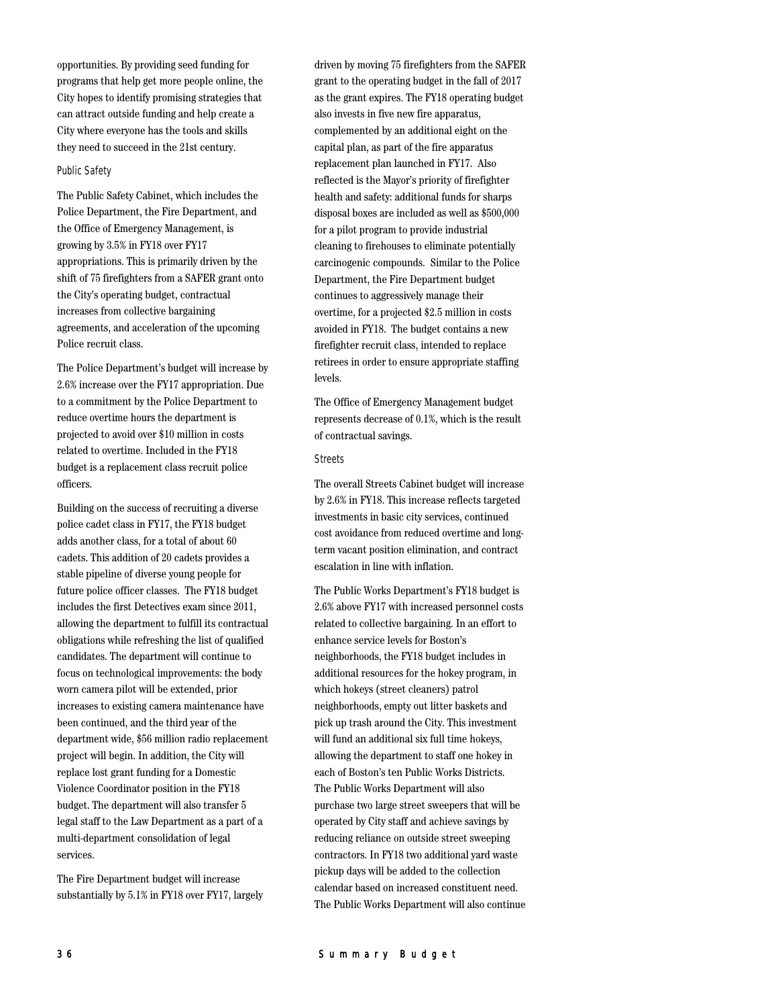opportunities. By providing seed funding for programs that help get more people online, the City hopes to identify promising strategies that can attract outside funding and help create a City where everyone has the tools and skills they need to succeed in the 21st century.

## Public Safety

The Public Safety Cabinet, which includes the Police Department, the Fire Department, and the Office of Emergency Management, is growing by 3.5% in FY18 over FY17 appropriations. This is primarily driven by the shift of 75 firefighters from a SAFER grant onto the City's operating budget, contractual increases from collective bargaining agreements, and acceleration of the upcoming Police recruit class.

The Police Department's budget will increase by 2.6% increase over the FY17 appropriation. Due to a commitment by the Police Department to reduce overtime hours the department is projected to avoid over \$10 million in costs related to overtime. Included in the FY18 budget is a replacement class recruit police officers.

Building on the success of recruiting a diverse police cadet class in FY17, the FY18 budget adds another class, for a total of about 60 cadets. This addition of 20 cadets provides a stable pipeline of diverse young people for future police officer classes. The FY18 budget includes the first Detectives exam since 2011, allowing the department to fulfill its contractual obligations while refreshing the list of qualified candidates. The department will continue to focus on technological improvements: the body worn camera pilot will be extended, prior increases to existing camera maintenance have been continued, and the third year of the department wide, \$56 million radio replacement project will begin. In addition, the City will replace lost grant funding for a Domestic Violence Coordinator position in the FY18 budget. The department will also transfer 5 legal staff to the Law Department as a part of a multi-department consolidation of legal services.

The Fire Department budget will increase substantially by 5.1% in FY18 over FY17, largely driven by moving 75 firefighters from the SAFER grant to the operating budget in the fall of 2017 as the grant expires. The FY18 operating budget also invests in five new fire apparatus, complemented by an additional eight on the capital plan, as part of the fire apparatus replacement plan launched in FY17. Also reflected is the Mayor's priority of firefighter health and safety: additional funds for sharps disposal boxes are included as well as \$500,000 for a pilot program to provide industrial cleaning to firehouses to eliminate potentially carcinogenic compounds. Similar to the Police Department, the Fire Department budget continues to aggressively manage their overtime, for a projected \$2.5 million in costs avoided in FY18. The budget contains a new firefighter recruit class, intended to replace retirees in order to ensure appropriate staffing levels.

The Office of Emergency Management budget represents decrease of 0.1%, which is the result of contractual savings.

#### Streets

The overall Streets Cabinet budget will increase by 2.6% in FY18. This increase reflects targeted investments in basic city services, continued cost avoidance from reduced overtime and longterm vacant position elimination, and contract escalation in line with inflation.

The Public Works Department's FY18 budget is 2.6% above FY17 with increased personnel costs related to collective bargaining. In an effort to enhance service levels for Boston's neighborhoods, the FY18 budget includes in additional resources for the hokey program, in which hokeys (street cleaners) patrol neighborhoods, empty out litter baskets and pick up trash around the City. This investment will fund an additional six full time hokeys, allowing the department to staff one hokey in each of Boston's ten Public Works Districts. The Public Works Department will also purchase two large street sweepers that will be operated by City staff and achieve savings by reducing reliance on outside street sweeping contractors. In FY18 two additional yard waste pickup days will be added to the collection calendar based on increased constituent need. The Public Works Department will also continue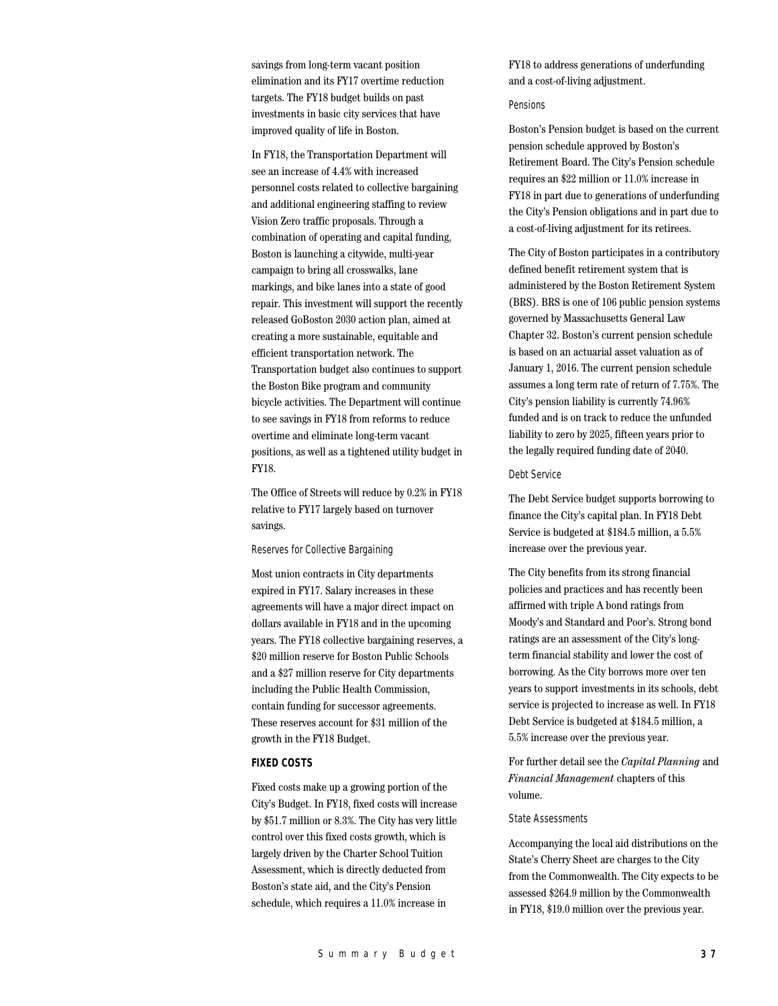savings from long-term vacant position elimination and its FY17 overtime reduction targets. The FY18 budget builds on past investments in basic city services that have improved quality of life in Boston.

In FY18, the Transportation Department will see an increase of 4.4% with increased personnel costs related to collective bargaining and additional engineering staffing to review Vision Zero traffic proposals. Through a combination of operating and capital funding, Boston is launching a citywide, multi-year campaign to bring all crosswalks, lane markings, and bike lanes into a state of good repair. This investment will support the recently released GoBoston 2030 action plan, aimed at creating a more sustainable, equitable and efficient transportation network. The Transportation budget also continues to support the Boston Bike program and community bicycle activities. The Department will continue to see savings in FY18 from reforms to reduce overtime and eliminate long-term vacant positions, as well as a tightened utility budget in FY18.

The Office of Streets will reduce by 0.2% in FY18 relative to FY17 largely based on turnover savings.

#### Reserves for Collective Bargaining

Most union contracts in City departments expired in FY17. Salary increases in these agreements will have a major direct impact on dollars available in FY18 and in the upcoming years. The FY18 collective bargaining reserves, a \$20 million reserve for Boston Public Schools and a \$27 million reserve for City departments including the Public Health Commission, contain funding for successor agreements. These reserves account for \$31 million of the growth in the FY18 Budget.

# **FIXED COSTS**

Fixed costs make up a growing portion of the City's Budget. In FY18, fixed costs will increase by \$51.7 million or 8.3%. The City has very little control over this fixed costs growth, which is largely driven by the Charter School Tuition Assessment, which is directly deducted from Boston's state aid, and the City's Pension schedule, which requires a 11.0% increase in

FY18 to address generations of underfunding and a cost-of-living adjustment.

#### Pensions

Boston's Pension budget is based on the current pension schedule approved by Boston's Retirement Board. The City's Pension schedule requires an \$22 million or 11.0% increase in FY18 in part due to generations of underfunding the City's Pension obligations and in part due to a cost-of-living adjustment for its retirees.

The City of Boston participates in a contributory defined benefit retirement system that is administered by the Boston Retirement System (BRS). BRS is one of 106 public pension systems governed by Massachusetts General Law Chapter 32. Boston's current pension schedule is based on an actuarial asset valuation as of January 1, 2016. The current pension schedule assumes a long term rate of return of 7.75%. The City's pension liability is currently 74.96% funded and is on track to reduce the unfunded liability to zero by 2025, fifteen years prior to the legally required funding date of 2040.

#### Debt Service

The Debt Service budget supports borrowing to finance the City's capital plan. In FY18 Debt Service is budgeted at \$184.5 million, a 5.5% increase over the previous year.

The City benefits from its strong financial policies and practices and has recently been affirmed with triple A bond ratings from Moody's and Standard and Poor's. Strong bond ratings are an assessment of the City's longterm financial stability and lower the cost of borrowing. As the City borrows more over ten years to support investments in its schools, debt service is projected to increase as well. In FY18 Debt Service is budgeted at \$184.5 million, a 5.5% increase over the previous year.

For further detail see the *Capital Planning* and *Financial Management* chapters of this volume.

#### State Assessments

Accompanying the local aid distributions on the State's Cherry Sheet are charges to the City from the Commonwealth. The City expects to be assessed \$264.9 million by the Commonwealth in FY18, \$19.0 million over the previous year.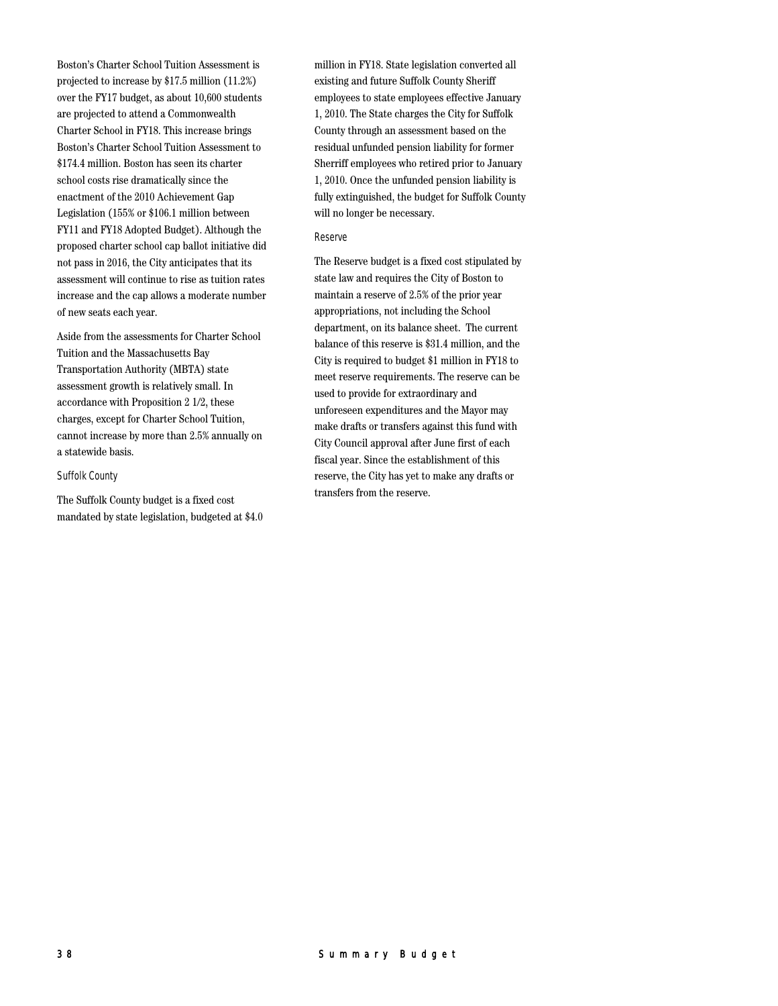Boston's Charter School Tuition Assessment is projected to increase by \$17.5 million (11.2%) over the FY17 budget, as about 10,600 students are projected to attend a Commonwealth Charter School in FY18. This increase brings Boston's Charter School Tuition Assessment to \$174.4 million. Boston has seen its charter school costs rise dramatically since the enactment of the 2010 Achievement Gap Legislation (155% or \$106.1 million between FY11 and FY18 Adopted Budget). Although the proposed charter school cap ballot initiative did not pass in 2016, the City anticipates that its assessment will continue to rise as tuition rates increase and the cap allows a moderate number of new seats each year.

Aside from the assessments for Charter School Tuition and the Massachusetts Bay Transportation Authority (MBTA) state assessment growth is relatively small. In accordance with Proposition 2 1/2, these charges, except for Charter School Tuition, cannot increase by more than 2.5% annually on a statewide basis.

#### Suffolk County

The Suffolk County budget is a fixed cost mandated by state legislation, budgeted at \$4.0 million in FY18. State legislation converted all existing and future Suffolk County Sheriff employees to state employees effective January 1, 2010. The State charges the City for Suffolk County through an assessment based on the residual unfunded pension liability for former Sherriff employees who retired prior to January 1, 2010. Once the unfunded pension liability is fully extinguished, the budget for Suffolk County will no longer be necessary.

#### Reserve

The Reserve budget is a fixed cost stipulated by state law and requires the City of Boston to maintain a reserve of 2.5% of the prior year appropriations, not including the School department, on its balance sheet. The current balance of this reserve is \$31.4 million, and the City is required to budget \$1 million in FY18 to meet reserve requirements. The reserve can be used to provide for extraordinary and unforeseen expenditures and the Mayor may make drafts or transfers against this fund with City Council approval after June first of each fiscal year. Since the establishment of this reserve, the City has yet to make any drafts or transfers from the reserve.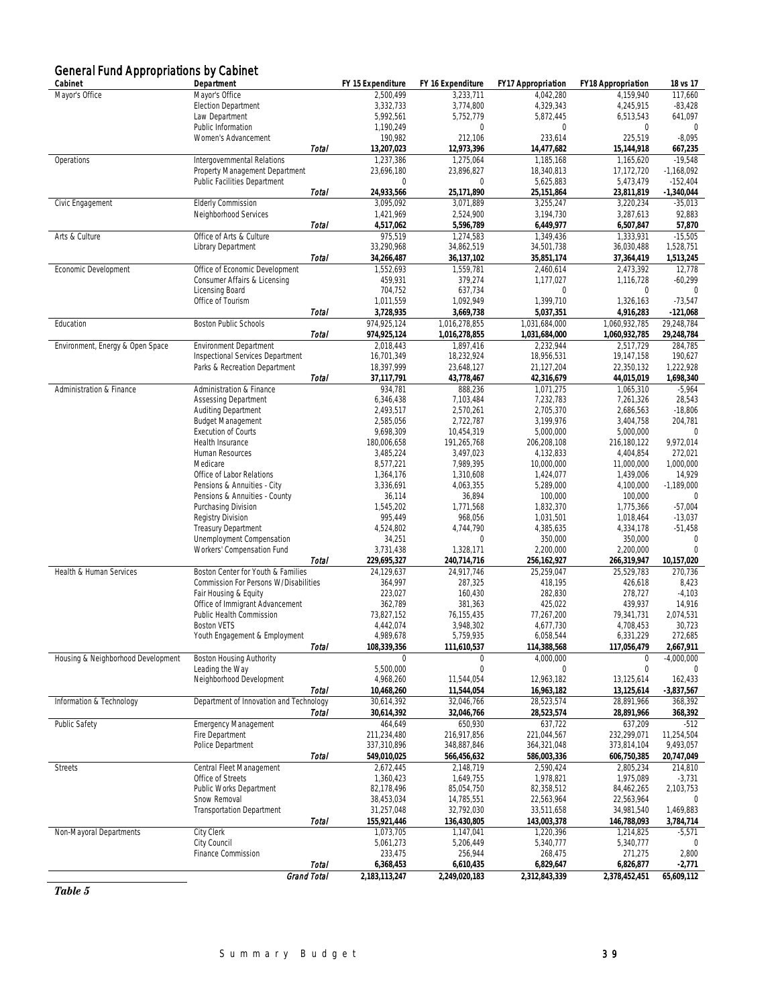| <b>General Fund Appropriations by Cabinet</b> |                                                         |              |                            |                            |                            |                            |                           |
|-----------------------------------------------|---------------------------------------------------------|--------------|----------------------------|----------------------------|----------------------------|----------------------------|---------------------------|
| Cabinet                                       | Department                                              |              | FY 15 Expenditure          | FY 16 Expenditure          | <b>FY17 Appropriation</b>  | <b>FY18 Appropriation</b>  | 18 vs 17                  |
| Mayor's Office                                | Mayor's Office                                          |              | 2,500,499                  | 3,233,711                  | 4,042,280                  | 4,159,940                  | 117,660                   |
|                                               | <b>Election Department</b><br>Law Department            |              | 3,332,733<br>5,992,561     | 3,774,800<br>5,752,779     | 4,329,343<br>5,872,445     | 4,245,915<br>6,513,543     | $-83,428$<br>641,097      |
|                                               | Public Information                                      |              | 1,190,249                  | 0                          | $\mathbf{0}$               | $\mathbf 0$                | $\mathbf 0$               |
|                                               | Women's Advancement                                     |              | 190,982                    | 212,106                    | 233,614                    | 225,519                    | $-8,095$                  |
|                                               |                                                         | Total        | 13,207,023                 | 12,973,396                 | 14,477,682                 | 15,144,918                 | 667,235                   |
| Operations                                    | Intergovernmental Relations                             |              | 1,237,386                  | 1,275,064                  | 1,185,168                  | 1,165,620                  | $-19,548$                 |
|                                               | Property Management Department                          |              | 23,696,180                 | 23,896,827                 | 18,340,813                 | 17,172,720                 | $-1,168,092$              |
|                                               | Public Facilities Department                            |              | $\mathbf{0}$               | $\mathbf{0}$               | 5,625,883                  | 5,473,479                  | $-152,404$                |
| Civic Engagement                              | <b>Elderly Commission</b>                               | Total        | 24,933,566<br>3,095,092    | 25,171,890<br>3,071,889    | 25,151,864<br>3,255,247    | 23,811,819<br>3,220,234    | $-1,340,044$<br>$-35,013$ |
|                                               | Neighborhood Services                                   |              | 1,421,969                  | 2,524,900                  | 3,194,730                  | 3,287,613                  | 92,883                    |
|                                               |                                                         | Total        | 4,517,062                  | 5,596,789                  | 6,449,977                  | 6,507,847                  | 57,870                    |
| Arts & Culture                                | Office of Arts & Culture                                |              | 975,519                    | 1,274,583                  | 1,349,436                  | 1,333,931                  | $-15,505$                 |
|                                               | Library Department                                      |              | 33,290,968                 | 34,862,519                 | 34,501,738                 | 36,030,488                 | 1,528,751                 |
|                                               |                                                         | Total        | 34,266,487                 | 36,137,102                 | 35,851,174                 | 37,364,419                 | 1,513,245                 |
| Economic Development                          | Office of Economic Development                          |              | 1,552,693                  | 1,559,781                  | 2,460,614                  | 2,473,392                  | 12,778                    |
|                                               | Consumer Affairs & Licensing<br>Licensing Board         |              | 459,931<br>704,752         | 379,274<br>637,734         | 1,177,027<br>$\mathbf{0}$  | 1,116,728<br>$\mathbf{0}$  | $-60,299$                 |
|                                               | Office of Tourism                                       |              | 1,011,559                  | 1,092,949                  | 1,399,710                  | 1,326,163                  | $-73,547$                 |
|                                               |                                                         | Total        | 3,728,935                  | 3,669,738                  | 5,037,351                  | 4,916,283                  | $-121,068$                |
| Education                                     | Boston Public Schools                                   |              | 974.925.124                | 1,016,278,855              | 1,031,684,000              | 1,060,932,785              | 29.248.784                |
|                                               |                                                         | <b>Total</b> | 974,925,124                | 1,016,278,855              | 1,031,684,000              | 1,060,932,785              | 29,248,784                |
| Environment, Energy & Open Space              | <b>Environment Department</b>                           |              | 2,018,443                  | 1,897,416                  | 2,232,944                  | 2,517,729                  | 284,785                   |
|                                               | Inspectional Services Department                        |              | 16,701,349                 | 18,232,924                 | 18,956,531                 | 19,147,158                 | 190,627                   |
|                                               | Parks & Recreation Department                           |              | 18,397,999<br>37,117,791   | 23,648,127                 | 21,127,204                 | 22,350,132                 | 1,222,928                 |
| Administration & Finance                      | Administration & Finance                                | Total        | 934,781                    | 43,778,467<br>888,236      | 42,316,679<br>1,071,275    | 44,015,019<br>1,065,310    | 1,698,340<br>$-5,964$     |
|                                               | <b>Assessing Department</b>                             |              | 6,346,438                  | 7,103,484                  | 7,232,783                  | 7,261,326                  | 28,543                    |
|                                               | Auditing Department                                     |              | 2,493,517                  | 2,570,261                  | 2,705,370                  | 2,686,563                  | $-18,806$                 |
|                                               | <b>Budget Management</b>                                |              | 2,585,056                  | 2,722,787                  | 3,199,976                  | 3,404,758                  | 204,781                   |
|                                               | <b>Execution of Courts</b>                              |              | 9,698,309                  | 10,454,319                 | 5,000,000                  | 5,000,000                  | $\overline{0}$            |
|                                               | Health Insurance                                        |              | 180,006,658                | 191,265,768                | 206,208,108                | 216,180,122                | 9,972,014                 |
|                                               | Human Resources<br>Medicare                             |              | 3,485,224<br>8,577,221     | 3,497,023<br>7,989,395     | 4,132,833<br>10,000,000    | 4,404,854<br>11,000,000    | 272,021<br>1,000,000      |
|                                               | Office of Labor Relations                               |              | 1,364,176                  | 1,310,608                  | 1,424,077                  | 1,439,006                  | 14,929                    |
|                                               | Pensions & Annuities - City                             |              | 3,336,691                  | 4,063,355                  | 5,289,000                  | 4,100,000                  | $-1,189,000$              |
|                                               | Pensions & Annuities - County                           |              | 36,114                     | 36,894                     | 100,000                    | 100,000                    | $\mathbf{0}$              |
|                                               | Purchasing Division                                     |              | 1,545,202                  | 1,771,568                  | 1,832,370                  | 1,775,366                  | $-57,004$                 |
|                                               | Registry Division                                       |              | 995,449                    | 968,056                    | 1,031,501                  | 1,018,464                  | $-13,037$                 |
|                                               | Treasury Department                                     |              | 4,524,802                  | 4,744,790                  | 4,385,635                  | 4,334,178                  | $-51,458$<br>$\mathbf{0}$ |
|                                               | Unemployment Compensation<br>Workers' Compensation Fund |              | 34,251<br>3,731,438        | $\mathbf{0}$<br>1,328,171  | 350,000<br>2,200,000       | 350,000<br>2,200,000       | $\Omega$                  |
|                                               |                                                         | Total        | 229,695,327                | 240,714,716                | 256, 162, 927              | 266,319,947                | 10,157,020                |
| Health & Human Services                       | Boston Center for Youth & Families                      |              | 24,129,637                 | 24,917,746                 | 25,259,047                 | 25,529,783                 | 270,736                   |
|                                               | Commission For Persons W/Disabilities                   |              | 364,997                    | 287,325                    | 418,195                    | 426,618                    | 8,423                     |
|                                               | Fair Housing & Equity                                   |              | 223,027                    | 160,430                    | 282,830                    | 278,727                    | $-4,103$                  |
|                                               | Office of Immigrant Advancement                         |              | 362,789                    | 381,363                    | 425,022                    | 439,937                    | 14,916                    |
|                                               | Public Health Commission<br><b>Boston VETS</b>          |              | 73,827,152<br>4,442,074    | 76.155.435<br>3,948,302    | 77,267,200<br>4,677,730    | 79,341,731<br>4,708,453    | 2,074,531<br>30,723       |
|                                               | Youth Engagement & Employment                           |              | 4,989,678                  | 5,759,935                  | 6,058,544                  | 6,331,229                  | 272,685                   |
|                                               |                                                         | Total        | 108,339,356                | 111,610,537                | 114,388,568                | 117,056,479                | 2,667,911                 |
| Housing & Neighborhood Development            | <b>Boston Housing Authority</b>                         |              | $\Omega$                   | 0                          | 4.000.000                  | 0                          | $-4,000,000$              |
|                                               | Leading the Way                                         |              | 5,500,000                  | $\mathbf 0$                | 0                          | $\mathbf 0$                | $\mathbf{0}$              |
|                                               | Neighborhood Development                                |              | 4,968,260                  | 11,544,054                 | 12,963,182                 | 13,125,614                 | 162,433                   |
|                                               |                                                         | Total        | 10,468,260                 | 11,544,054                 | 16,963,182                 | 13,125,614                 | $-3,837,567$              |
| Information & Technology                      | Department of Innovation and Technology                 | Total        | 30,614,392<br>30,614,392   | 32,046,766<br>32,046,766   | 28,523,574<br>28,523,574   | 28,891,966<br>28,891,966   | 368,392<br>368,392        |
| <b>Public Safety</b>                          | <b>Emergency Management</b>                             |              | 464,649                    | 650,930                    | 637,722                    | 637,209                    | $-512$                    |
|                                               | Fire Department                                         |              | 211,234,480                | 216,917,856                | 221,044,567                | 232,299,071                | 11,254,504                |
|                                               | Police Department                                       |              | 337,310,896                | 348,887,846                | 364, 321, 048              | 373,814,104                | 9,493,057                 |
|                                               |                                                         | Total        | 549,010,025                | 566,456,632                | 586,003,336                | 606,750,385                | 20,747,049                |
| <b>Streets</b>                                | Central Fleet Management                                |              | 2,672,445                  | 2,148,719                  | 2,590,424                  | 2,805,234                  | 214,810                   |
|                                               | Office of Streets<br>Public Works Department            |              | 1,360,423                  | 1,649,755                  | 1,978,821                  | 1,975,089                  | $-3,731$                  |
|                                               | Snow Removal                                            |              | 82,178,496<br>38,453,034   | 85,054,750<br>14,785,551   | 82,358,512<br>22,563,964   | 84,462,265<br>22,563,964   | 2,103,753<br>$\mathbf{0}$ |
|                                               | <b>Transportation Department</b>                        |              | 31,257,048                 | 32,792,030                 | 33,511,658                 | 34,981,540                 | 1,469,883                 |
|                                               |                                                         | Total        | 155,921,446                | 136,430,805                | 143,003,378                | 146,788,093                | 3,784,714                 |
| Non-Mayoral Departments                       | City Clerk                                              |              | 1,073,705                  | 1,147,041                  | 1,220,396                  | 1,214,825                  | $-5,571$                  |
|                                               | City Council                                            |              | 5,061,273                  | 5,206,449                  | 5,340,777                  | 5,340,777                  | 0                         |
|                                               | Finance Commission                                      |              | 233,475                    | 256,944                    | 268,475                    | 271,275                    | 2,800                     |
|                                               | Grand Total                                             | Total        | 6,368,453<br>2,183,113,247 | 6,610,435<br>2,249,020,183 | 6,829,647<br>2,312,843,339 | 6,826,877<br>2,378,452,451 | -2,771<br>65,609,112      |
|                                               |                                                         |              |                            |                            |                            |                            |                           |

# *Table 5*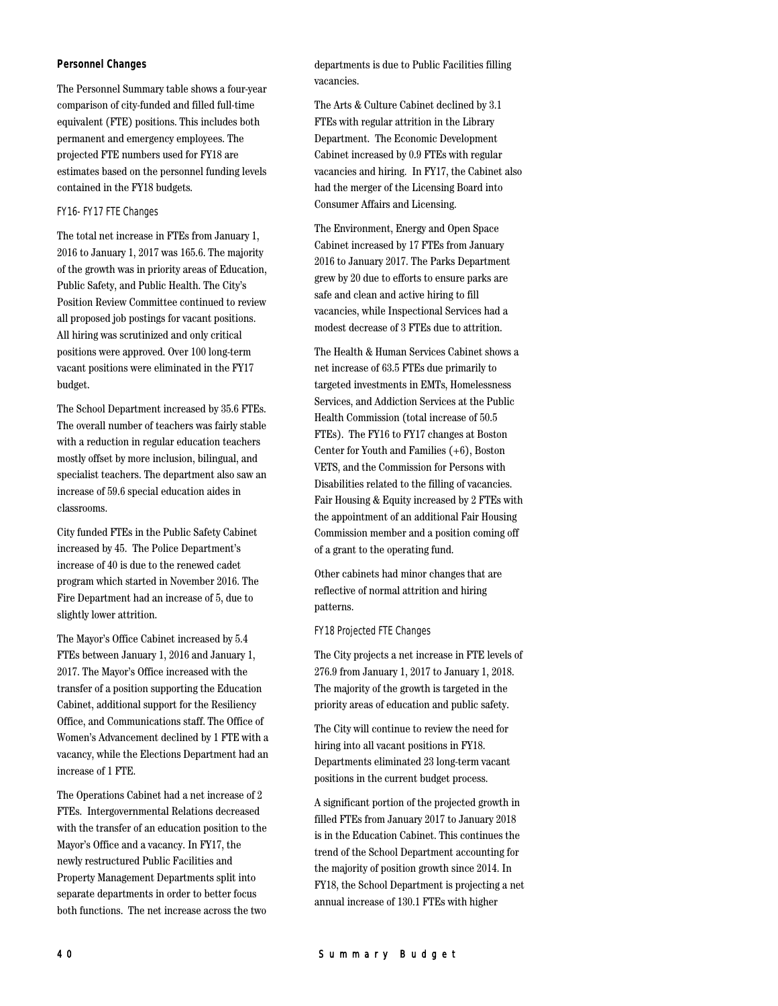#### **Personnel Changes**

The Personnel Summary table shows a four-year comparison of city-funded and filled full-time equivalent (FTE) positions. This includes both permanent and emergency employees. The projected FTE numbers used for FY18 are estimates based on the personnel funding levels contained in the FY18 budgets.

## FY16- FY17 FTE Changes

The total net increase in FTEs from January 1, 2016 to January 1, 2017 was 165.6. The majority of the growth was in priority areas of Education, Public Safety, and Public Health. The City's Position Review Committee continued to review all proposed job postings for vacant positions. All hiring was scrutinized and only critical positions were approved. Over 100 long-term vacant positions were eliminated in the FY17 budget.

The School Department increased by 35.6 FTEs. The overall number of teachers was fairly stable with a reduction in regular education teachers mostly offset by more inclusion, bilingual, and specialist teachers. The department also saw an increase of 59.6 special education aides in classrooms.

City funded FTEs in the Public Safety Cabinet increased by 45. The Police Department's increase of 40 is due to the renewed cadet program which started in November 2016. The Fire Department had an increase of 5, due to slightly lower attrition.

The Mayor's Office Cabinet increased by 5.4 FTEs between January 1, 2016 and January 1, 2017. The Mayor's Office increased with the transfer of a position supporting the Education Cabinet, additional support for the Resiliency Office, and Communications staff. The Office of Women's Advancement declined by 1 FTE with a vacancy, while the Elections Department had an increase of 1 FTE.

The Operations Cabinet had a net increase of 2 FTEs. Intergovernmental Relations decreased with the transfer of an education position to the Mayor's Office and a vacancy. In FY17, the newly restructured Public Facilities and Property Management Departments split into separate departments in order to better focus both functions. The net increase across the two

departments is due to Public Facilities filling vacancies.

The Arts & Culture Cabinet declined by 3.1 FTEs with regular attrition in the Library Department. The Economic Development Cabinet increased by 0.9 FTEs with regular vacancies and hiring. In FY17, the Cabinet also had the merger of the Licensing Board into Consumer Affairs and Licensing.

The Environment, Energy and Open Space Cabinet increased by 17 FTEs from January 2016 to January 2017. The Parks Department grew by 20 due to efforts to ensure parks are safe and clean and active hiring to fill vacancies, while Inspectional Services had a modest decrease of 3 FTEs due to attrition.

The Health & Human Services Cabinet shows a net increase of 63.5 FTEs due primarily to targeted investments in EMTs, Homelessness Services, and Addiction Services at the Public Health Commission (total increase of 50.5 FTEs). The FY16 to FY17 changes at Boston Center for Youth and Families (+6), Boston VETS, and the Commission for Persons with Disabilities related to the filling of vacancies. Fair Housing & Equity increased by 2 FTEs with the appointment of an additional Fair Housing Commission member and a position coming off of a grant to the operating fund.

Other cabinets had minor changes that are reflective of normal attrition and hiring patterns.

## FY18 Projected FTE Changes

The City projects a net increase in FTE levels of 276.9 from January 1, 2017 to January 1, 2018. The majority of the growth is targeted in the priority areas of education and public safety.

The City will continue to review the need for hiring into all vacant positions in FY18. Departments eliminated 23 long-term vacant positions in the current budget process.

A significant portion of the projected growth in filled FTEs from January 2017 to January 2018 is in the Education Cabinet. This continues the trend of the School Department accounting for the majority of position growth since 2014. In FY18, the School Department is projecting a net annual increase of 130.1 FTEs with higher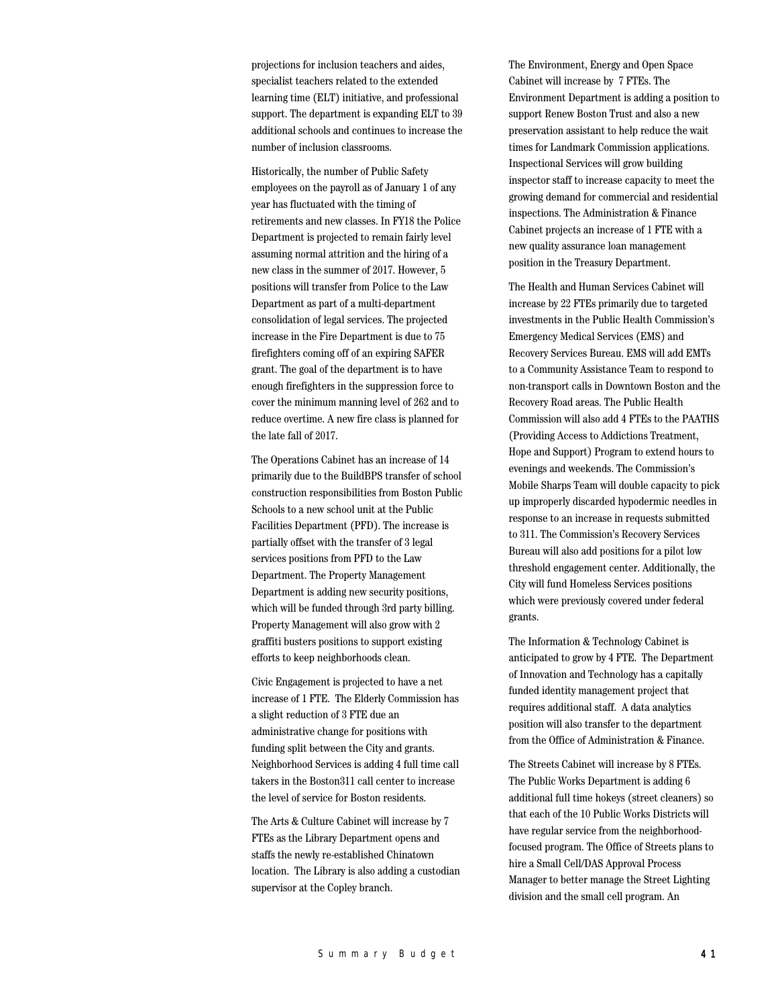projections for inclusion teachers and aides, specialist teachers related to the extended learning time (ELT) initiative, and professional support. The department is expanding ELT to 39 additional schools and continues to increase the number of inclusion classrooms.

Historically, the number of Public Safety employees on the payroll as of January 1 of any year has fluctuated with the timing of retirements and new classes. In FY18 the Police Department is projected to remain fairly level assuming normal attrition and the hiring of a new class in the summer of 2017. However, 5 positions will transfer from Police to the Law Department as part of a multi-department consolidation of legal services. The projected increase in the Fire Department is due to 75 firefighters coming off of an expiring SAFER grant. The goal of the department is to have enough firefighters in the suppression force to cover the minimum manning level of 262 and to reduce overtime. A new fire class is planned for the late fall of 2017.

The Operations Cabinet has an increase of 14 primarily due to the BuildBPS transfer of school construction responsibilities from Boston Public Schools to a new school unit at the Public Facilities Department (PFD). The increase is partially offset with the transfer of 3 legal services positions from PFD to the Law Department. The Property Management Department is adding new security positions, which will be funded through 3rd party billing. Property Management will also grow with 2 graffiti busters positions to support existing efforts to keep neighborhoods clean.

Civic Engagement is projected to have a net increase of 1 FTE. The Elderly Commission has a slight reduction of 3 FTE due an administrative change for positions with funding split between the City and grants. Neighborhood Services is adding 4 full time call takers in the Boston311 call center to increase the level of service for Boston residents.

The Arts & Culture Cabinet will increase by 7 FTEs as the Library Department opens and staffs the newly re-established Chinatown location. The Library is also adding a custodian supervisor at the Copley branch.

The Environment, Energy and Open Space Cabinet will increase by 7 FTEs. The Environment Department is adding a position to support Renew Boston Trust and also a new preservation assistant to help reduce the wait times for Landmark Commission applications. Inspectional Services will grow building inspector staff to increase capacity to meet the growing demand for commercial and residential inspections. The Administration & Finance Cabinet projects an increase of 1 FTE with a new quality assurance loan management position in the Treasury Department.

The Health and Human Services Cabinet will increase by 22 FTEs primarily due to targeted investments in the Public Health Commission's Emergency Medical Services (EMS) and Recovery Services Bureau. EMS will add EMTs to a Community Assistance Team to respond to non-transport calls in Downtown Boston and the Recovery Road areas. The Public Health Commission will also add 4 FTEs to the PAATHS (Providing Access to Addictions Treatment, Hope and Support) Program to extend hours to evenings and weekends. The Commission's Mobile Sharps Team will double capacity to pick up improperly discarded hypodermic needles in response to an increase in requests submitted to 311. The Commission's Recovery Services Bureau will also add positions for a pilot low threshold engagement center. Additionally, the City will fund Homeless Services positions which were previously covered under federal grants.

The Information & Technology Cabinet is anticipated to grow by 4 FTE. The Department of Innovation and Technology has a capitally funded identity management project that requires additional staff. A data analytics position will also transfer to the department from the Office of Administration & Finance.

The Streets Cabinet will increase by 8 FTEs. The Public Works Department is adding 6 additional full time hokeys (street cleaners) so that each of the 10 Public Works Districts will have regular service from the neighborhoodfocused program. The Office of Streets plans to hire a Small Cell/DAS Approval Process Manager to better manage the Street Lighting division and the small cell program. An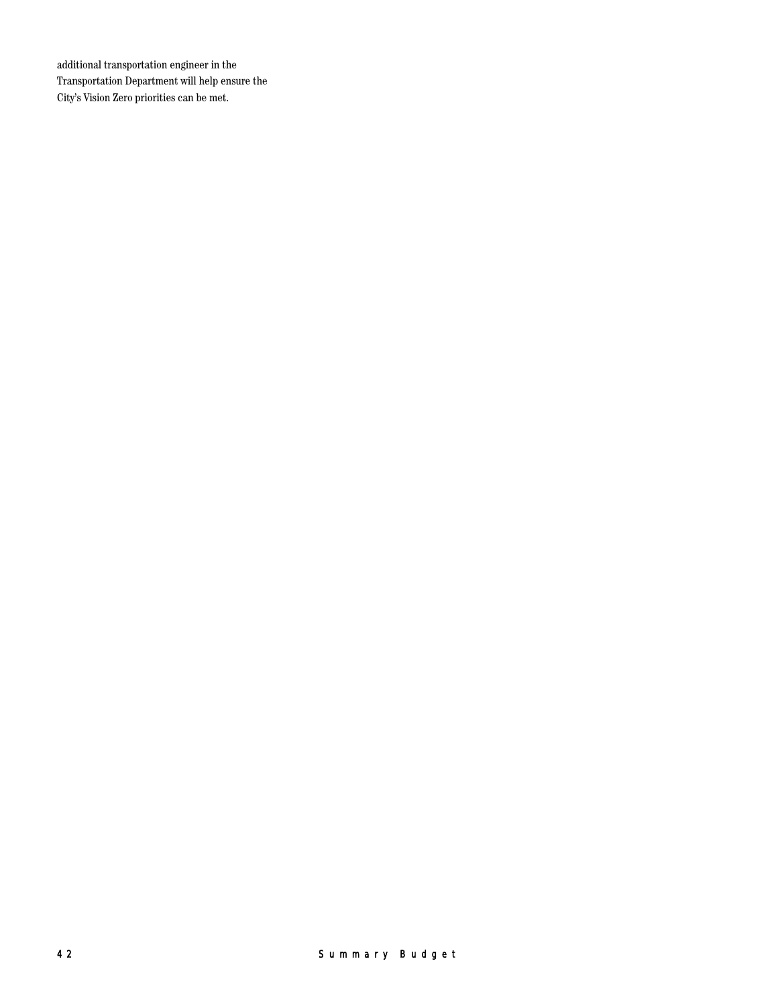additional transportation engineer in the Transportation Department will help ensure the City's Vision Zero priorities can be met.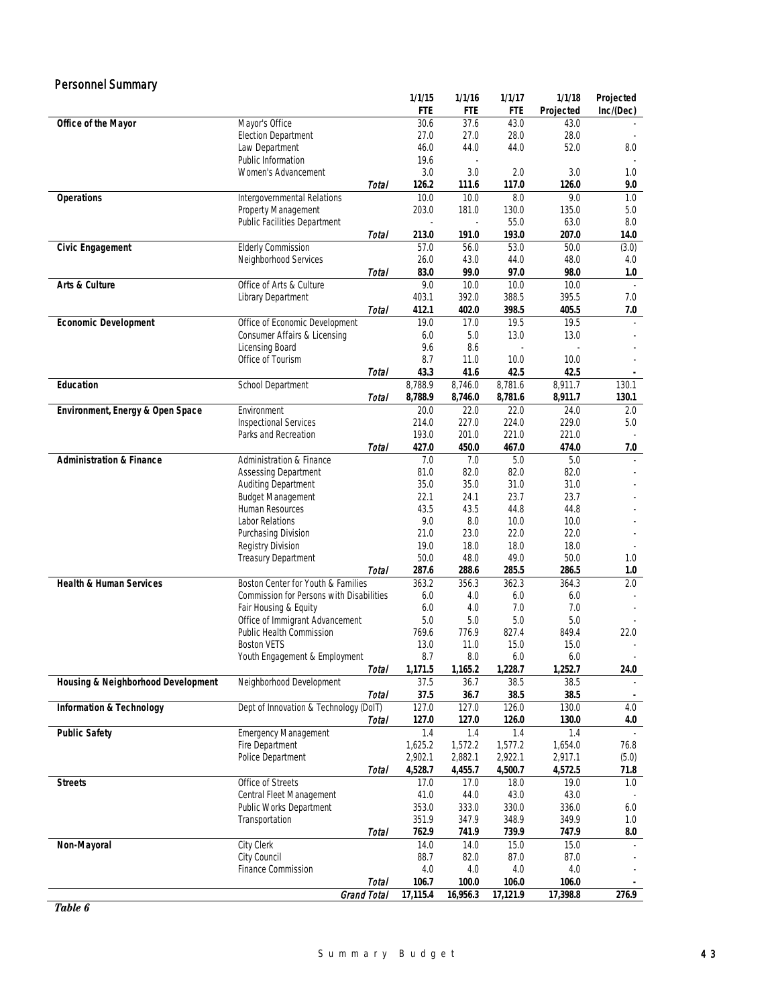| <b>Personnel Summary</b>            |                                                            |              |                |                |                |                |            |
|-------------------------------------|------------------------------------------------------------|--------------|----------------|----------------|----------------|----------------|------------|
|                                     |                                                            |              | 1/1/15         | 1/1/16         | 1/1/17         | 1/1/18         | Projected  |
|                                     |                                                            |              | FTE            | FTE            | FTE            | Projected      | Inc/(Dec)  |
| Office of the Mayor                 | Mayor's Office                                             |              | 30.6           | 37.6           | 43.0           | 43.0           |            |
|                                     | <b>Election Department</b>                                 |              | 27.0           | 27.0           | 28.0           | 28.0           |            |
|                                     | Law Department                                             |              | 46.0           | 44.0           | 44.0           | 52.0           | 8.0        |
|                                     | Public Information                                         |              | 19.6           |                |                |                |            |
|                                     | Women's Advancement                                        |              | 3.0            | 3.0            | 2.0            | 3.0            | 1.0        |
|                                     |                                                            | Total        | 126.2          | 111.6          | 117.0          | 126.0          | 9.0        |
| <b>Operations</b>                   | Intergovernmental Relations                                |              | 10.0<br>203.0  | 10.0           | 8.0            | 9.0<br>135.0   | 1.0        |
|                                     | Property Management<br><b>Public Facilities Department</b> |              |                | 181.0          | 130.0<br>55.0  | 63.0           | 5.0<br>8.0 |
|                                     |                                                            | Total        | 213.0          | 191.0          | 193.0          | 207.0          | 14.0       |
| <b>Civic Engagement</b>             | <b>Elderly Commission</b>                                  |              | 57.0           | 56.0           | 53.0           | 50.0           | (3.0)      |
|                                     | Neighborhood Services                                      |              | 26.0           | 43.0           | 44.0           | 48.0           | 4.0        |
|                                     |                                                            | Total        | 83.0           | 99.0           | 97.0           | 98.0           | 1.0        |
| Arts & Culture                      | Office of Arts & Culture                                   |              | 9.0            | 10.0           | 10.0           | 10.0           |            |
|                                     | Library Department                                         |              | 403.1          | 392.0          | 388.5          | 395.5          | 7.0        |
|                                     |                                                            | Total        | 412.1          | 402.0          | 398.5          | 405.5          | 7.0        |
| <b>Economic Development</b>         | Office of Economic Development                             |              | 19.0           | 17.0           | 19.5           | 19.5           |            |
|                                     | Consumer Affairs & Licensing                               |              | 6.0            | 5.0            | 13.0           | 13.0           |            |
|                                     | Licensing Board                                            |              | 9.6            | 8.6            |                |                |            |
|                                     | Office of Tourism                                          |              | 8.7            | 11.0           | 10.0           | 10.0           |            |
|                                     |                                                            | Total        | 43.3           | 41.6           | 42.5           | 42.5           |            |
| Education                           | School Department                                          |              | 8,788.9        | 8,746.0        | 8,781.6        | 8,911.7        | 130.1      |
|                                     |                                                            | Total        | 8,788.9        | 8,746.0        | 8,781.6        | 8,911.7        | 130.1      |
| Environment, Energy & Open Space    | Environment                                                |              | 20.0           | 22.0           | 22.0           | 24.0           | $2.0\,$    |
|                                     | <b>Inspectional Services</b>                               |              | 214.0          | 227.0          | 224.0          | 229.0          | 5.0        |
|                                     | Parks and Recreation                                       |              | 193.0          | 201.0          | 221.0          | 221.0          |            |
|                                     |                                                            | Total        | 427.0          | 450.0          | 467.0          | 474.0          | 7.0        |
| <b>Administration &amp; Finance</b> | Administration & Finance                                   |              | 7.0            | 7.0            | 5.0            | 5.0            |            |
|                                     | <b>Assessing Department</b>                                |              | 81.0           | 82.0           | 82.0           | 82.0           |            |
|                                     | Auditing Department                                        |              | 35.0<br>22.1   | 35.0           | 31.0<br>23.7   | 31.0<br>23.7   |            |
|                                     | <b>Budget Management</b><br>Human Resources                |              | 43.5           | 24.1<br>43.5   | 44.8           | 44.8           |            |
|                                     | Labor Relations                                            |              | 9.0            | 8.0            | 10.0           | 10.0           |            |
|                                     | Purchasing Division                                        |              | 21.0           | 23.0           | 22.0           | 22.0           |            |
|                                     | <b>Registry Division</b>                                   |              | 19.0           | 18.0           | 18.0           | 18.0           |            |
|                                     | <b>Treasury Department</b>                                 |              | 50.0           | 48.0           | 49.0           | 50.0           | 1.0        |
|                                     |                                                            | Total        | 287.6          | 288.6          | 285.5          | 286.5          | 1.0        |
| <b>Health &amp; Human Services</b>  | Boston Center for Youth & Families                         |              | 363.2          | 356.3          | 362.3          | 364.3          | 2.0        |
|                                     | Commission for Persons with Disabilities                   |              | 6.0            | 4.0            | 6.0            | 6.0            |            |
|                                     | Fair Housing & Equity                                      |              | 6.0            | 4.0            | 7.0            | 7.0            |            |
|                                     | Office of Immigrant Advancement                            |              | 5.0            | 5.0            | $5.0\,$        | 5.0            |            |
|                                     | <b>Public Health Commission</b>                            |              | 769.6          | 776.9          | 827.4          | 849.4          | 22.0       |
|                                     | <b>Boston VETS</b>                                         |              | 13.0           | 11.0           | 15.0           | 15.0           |            |
|                                     | Youth Engagement & Employment                              |              | 8.7            | 8.0            | 6.0            | 6.0            |            |
|                                     |                                                            | <b>Total</b> | 1,171.5        | 1,165.2        | 1,228.7        | 1,252.7        | 24.0       |
| Housing & Neighborhood Development  | Neighborhood Development                                   |              | 37.5           | 36.7           | 38.5           | 38.5           |            |
|                                     |                                                            | Total        | 37.5           | 36.7           | 38.5           | 38.5           |            |
| <b>Information &amp; Technology</b> | Dept of Innovation & Technology (DoIT)                     |              | 127.0          | 127.0          | 126.0          | 130.0          | 4.0        |
|                                     |                                                            | Total        | 127.0          | 127.0          | 126.0          | 130.0          | 4.0        |
| <b>Public Safety</b>                | <b>Emergency Management</b><br>Fire Department             |              | 1.4<br>1,625.2 | 1.4<br>1,572.2 | 1.4<br>1,577.2 | 1.4<br>1,654.0 | 76.8       |
|                                     | Police Department                                          |              | 2,902.1        | 2,882.1        | 2,922.1        | 2,917.1        | (5.0)      |
|                                     |                                                            | Total        | 4,528.7        | 4,455.7        | 4,500.7        | 4,572.5        | 71.8       |
| <b>Streets</b>                      | Office of Streets                                          |              | 17.0           | 17.0           | 18.0           | 19.0           | 1.0        |
|                                     | Central Fleet Management                                   |              | 41.0           | 44.0           | 43.0           | 43.0           |            |
|                                     | Public Works Department                                    |              | 353.0          | 333.0          | 330.0          | 336.0          | 6.0        |
|                                     | Transportation                                             |              | 351.9          | 347.9          | 348.9          | 349.9          | 1.0        |
|                                     |                                                            | Total        | 762.9          | 741.9          | 739.9          | 747.9          | 8.0        |
| Non-Mayoral                         | City Clerk                                                 |              | 14.0           | 14.0           | 15.0           | 15.0           |            |
|                                     | City Council                                               |              | 88.7           | 82.0           | 87.0           | 87.0           |            |
|                                     | <b>Finance Commission</b>                                  |              | 4.0            | 4.0            | 4.0            | 4.0            |            |
|                                     |                                                            | <b>Total</b> | 106.7          | 100.0          | 106.0          | 106.0          |            |
|                                     | Grand Total                                                |              | 17,115.4       | 16,956.3       | 17,121.9       | 17,398.8       | 276.9      |

*Table 6*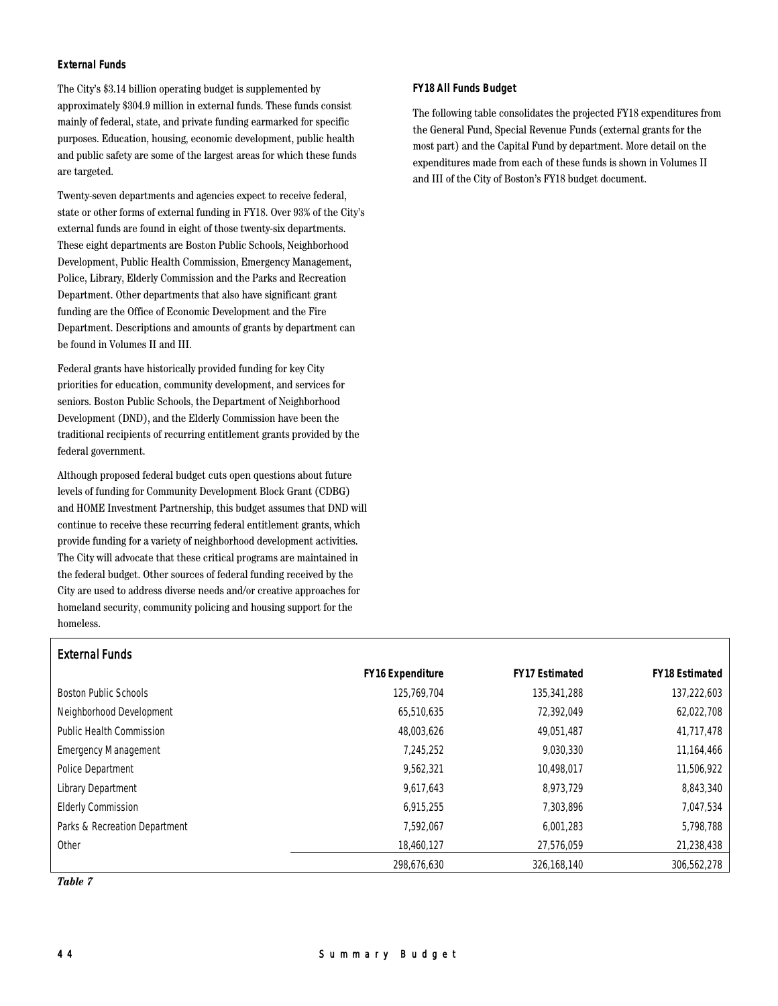# **External Funds**

The City's \$3.14 billion operating budget is supplemented by approximately \$304.9 million in external funds. These funds consist mainly of federal, state, and private funding earmarked for specific purposes. Education, housing, economic development, public health and public safety are some of the largest areas for which these funds are targeted.

Twenty-seven departments and agencies expect to receive federal, state or other forms of external funding in FY18. Over 93% of the City's external funds are found in eight of those twenty-six departments. These eight departments are Boston Public Schools, Neighborhood Development, Public Health Commission, Emergency Management, Police, Library, Elderly Commission and the Parks and Recreation Department. Other departments that also have significant grant funding are the Office of Economic Development and the Fire Department. Descriptions and amounts of grants by department can be found in Volumes II and III.

Federal grants have historically provided funding for key City priorities for education, community development, and services for seniors. Boston Public Schools, the Department of Neighborhood Development (DND), and the Elderly Commission have been the traditional recipients of recurring entitlement grants provided by the federal government.

Although proposed federal budget cuts open questions about future levels of funding for Community Development Block Grant (CDBG) and HOME Investment Partnership, this budget assumes that DND will continue to receive these recurring federal entitlement grants, which provide funding for a variety of neighborhood development activities. The City will advocate that these critical programs are maintained in the federal budget. Other sources of federal funding received by the City are used to address diverse needs and/or creative approaches for homeland security, community policing and housing support for the homeless.

# **FY18 All Funds Budget**

The following table consolidates the projected FY18 expenditures from the General Fund, Special Revenue Funds (external grants for the most part) and the Capital Fund by department. More detail on the expenditures made from each of these funds is shown in Volumes II and III of the City of Boston's FY18 budget document.

| EXICITIOI FUIIUS              |                         |                       |                       |
|-------------------------------|-------------------------|-----------------------|-----------------------|
|                               | <b>FY16 Expenditure</b> | <b>FY17 Estimated</b> | <b>FY18 Estimated</b> |
| Boston Public Schools         | 125,769,704             | 135,341,288           | 137,222,603           |
| Neighborhood Development      | 65,510,635              | 72.392.049            | 62,022,708            |
| Public Health Commission      | 48,003,626              | 49,051,487            | 41,717,478            |
| <b>Emergency Management</b>   | 7,245,252               | 9,030,330             | 11,164,466            |
| Police Department             | 9,562,321               | 10,498,017            | 11,506,922            |
| Library Department            | 9,617,643               | 8,973,729             | 8,843,340             |
| <b>Elderly Commission</b>     | 6,915,255               | 7,303,896             | 7,047,534             |
| Parks & Recreation Department | 7,592,067               | 6,001,283             | 5,798,788             |
| Other                         | 18.460.127              | 27.576.059            | 21,238,438            |
|                               | 298,676,630             | 326,168,140           | 306,562,278           |

*Table 7*

External Funds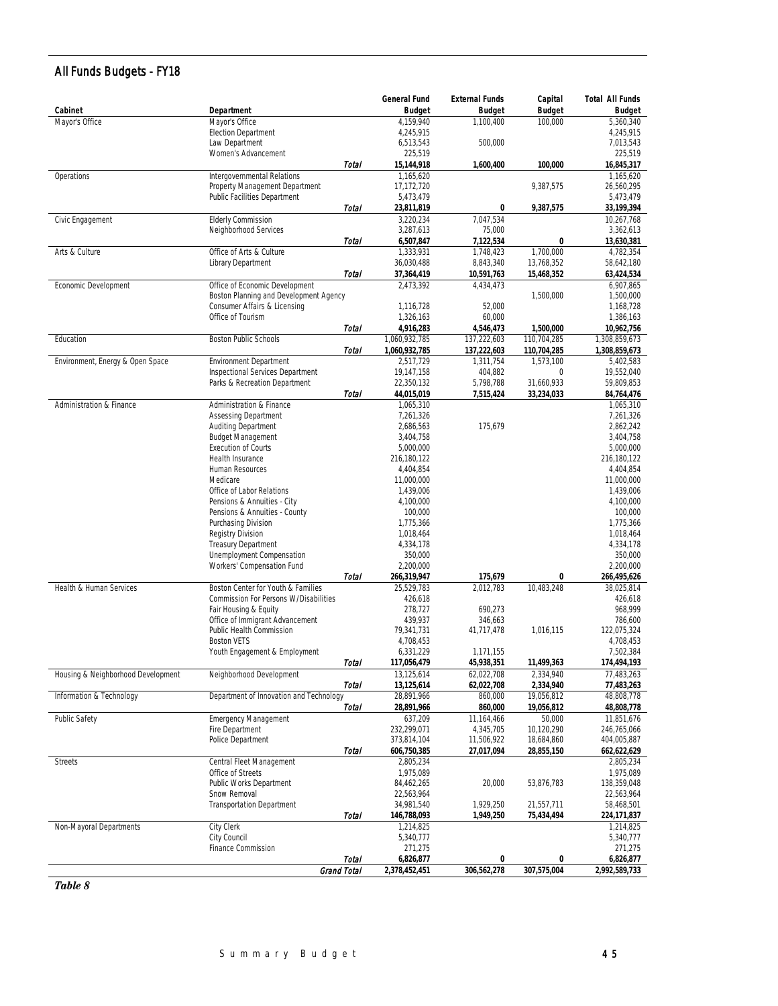# All Funds Budgets - FY18

|                                    |                                                      |              | <b>General Fund</b>        | <b>External Funds</b>      | Capital                  | <b>Total All Funds</b>     |
|------------------------------------|------------------------------------------------------|--------------|----------------------------|----------------------------|--------------------------|----------------------------|
| Cabinet                            | Department                                           |              | <b>Budget</b><br>4,159,940 | <b>Budget</b><br>1.100.400 | <b>Budget</b><br>100,000 | <b>Budget</b><br>5,360,340 |
| Mayor's Office                     | Mayor's Office<br><b>Election Department</b>         |              | 4,245,915                  |                            |                          | 4,245,915                  |
|                                    | Law Department                                       |              | 6,513,543                  | 500,000                    |                          | 7,013,543                  |
|                                    | Women's Advancement                                  |              | 225,519                    |                            |                          | 225,519                    |
|                                    |                                                      | Total        | 15,144,918                 | 1,600,400                  | 100.000                  | 16,845,317                 |
| Operations                         | Intergovernmental Relations                          |              | 1,165,620                  |                            |                          | 1,165,620                  |
|                                    | Property Management Department                       |              | 17,172,720                 |                            | 9,387,575                | 26,560,295                 |
|                                    | Public Facilities Department                         |              | 5,473,479                  |                            |                          | 5,473,479                  |
|                                    |                                                      | Total        | 23,811,819                 | 0                          | 9,387,575                | 33,199,394                 |
| Civic Engagement                   | <b>Elderly Commission</b>                            |              | 3,220,234                  | 7,047,534                  |                          | 10,267,768                 |
|                                    | Neighborhood Services                                |              | 3,287,613                  | 75,000                     |                          | 3,362,613                  |
|                                    | Office of Arts & Culture                             | Total        | 6,507,847<br>1,333,931     | 7,122,534<br>1,748,423     | 0<br>1.700.000           | 13,630,381<br>4,782,354    |
| Arts & Culture                     | Library Department                                   |              | 36,030,488                 | 8,843,340                  | 13,768,352               | 58,642,180                 |
|                                    |                                                      | <b>Total</b> | 37,364,419                 | 10,591,763                 | 15,468,352               | 63,424,534                 |
| Economic Development               | Office of Economic Development                       |              | 2,473,392                  | 4,434,473                  |                          | 6,907,865                  |
|                                    | Boston Planning and Development Agency               |              |                            |                            | 1,500,000                | 1,500,000                  |
|                                    | Consumer Affairs & Licensing                         |              | 1,116,728                  | 52,000                     |                          | 1,168,728                  |
|                                    | Office of Tourism                                    |              | 1,326,163                  | 60,000                     |                          | 1,386,163                  |
|                                    |                                                      | Total        | 4,916,283                  | 4,546,473                  | 1,500,000                | 10,962,756                 |
| Education                          | <b>Boston Public Schools</b>                         |              | 1,060,932,785              | 137,222,603                | 110,704,285              | 1,308,859,673              |
|                                    |                                                      | Total        | 1,060,932,785              | 137,222,603                | 110,704,285              | 1,308,859,673              |
| Environment, Energy & Open Space   | <b>Environment Department</b>                        |              | 2,517,729                  | 1,311,754                  | 1,573,100                | 5,402,583                  |
|                                    | Inspectional Services Department                     |              | 19,147,158                 | 404,882                    | 0                        | 19,552,040                 |
|                                    | Parks & Recreation Department                        | Total        | 22,350,132<br>44,015,019   | 5,798,788                  | 31,660,933               | 59,809,853                 |
| Administration & Finance           | Administration & Finance                             |              | 1,065,310                  | 7,515,424                  | 33,234,033               | 84,764,476<br>1,065,310    |
|                                    | <b>Assessing Department</b>                          |              | 7,261,326                  |                            |                          | 7,261,326                  |
|                                    | Auditing Department                                  |              | 2,686,563                  | 175,679                    |                          | 2,862,242                  |
|                                    | <b>Budget Management</b>                             |              | 3,404,758                  |                            |                          | 3,404,758                  |
|                                    | <b>Execution of Courts</b>                           |              | 5,000,000                  |                            |                          | 5,000,000                  |
|                                    | Health Insurance                                     |              | 216,180,122                |                            |                          | 216,180,122                |
|                                    | Human Resources                                      |              | 4,404,854                  |                            |                          | 4,404,854                  |
|                                    | Medicare                                             |              | 11,000,000                 |                            |                          | 11,000,000                 |
|                                    | Office of Labor Relations                            |              | 1,439,006                  |                            |                          | 1,439,006                  |
|                                    | Pensions & Annuities - City                          |              | 4,100,000                  |                            |                          | 4,100,000                  |
|                                    | Pensions & Annuities - County<br>Purchasing Division |              | 100,000<br>1,775,366       |                            |                          | 100,000<br>1,775,366       |
|                                    | Registry Division                                    |              | 1,018,464                  |                            |                          | 1,018,464                  |
|                                    | Treasury Department                                  |              | 4,334,178                  |                            |                          | 4,334,178                  |
|                                    | Unemployment Compensation                            |              | 350,000                    |                            |                          | 350,000                    |
|                                    | Workers' Compensation Fund                           |              | 2,200,000                  |                            |                          | 2,200,000                  |
|                                    |                                                      | Total        | 266,319,947                | 175,679                    | 0                        | 266,495,626                |
| Health & Human Services            | Boston Center for Youth & Families                   |              | 25.529.783                 | 2.012.783                  | 10.483.248               | 38,025,814                 |
|                                    | Commission For Persons W/Disabilities                |              | 426,618                    |                            |                          | 426,618                    |
|                                    | Fair Housing & Equity                                |              | 278,727                    | 690,273                    |                          | 968,999                    |
|                                    | Office of Immigrant Advancement                      |              | 439,937                    | 346,663                    |                          | 786,600                    |
|                                    | Public Health Commission<br><b>Boston VETS</b>       |              | 79,341,731<br>4,708,453    | 41,717,478                 | 1,016,115                | 122,075,324<br>4,708,453   |
|                                    | Youth Engagement & Employment                        |              | 6,331,229                  | 1,171,155                  |                          | 7,502,384                  |
|                                    |                                                      | Total        | 117,056,479                | 45,938,351                 | 11,499,363               | 174,494,193                |
| Housing & Neighborhood Development | Neighborhood Development                             |              | 13,125,614                 | 62,022,708                 | 2,334,940                | 77,483,263                 |
|                                    |                                                      | Total        | 13,125,614                 | 62,022,708                 | 2,334,940                | 77,483,263                 |
| Information & Technology           | Department of Innovation and Technology              |              | 28,891,966                 | 860,000                    | 19,056,812               | 48,808,778                 |
|                                    |                                                      | Total        | 28,891,966                 | 860,000                    | 19,056,812               | 48,808,778                 |
| Public Safety                      | <b>Emergency Management</b>                          |              | 637,209                    | 11,164,466                 | 50,000                   | 11,851,676                 |
|                                    | Fire Department                                      |              | 232,299,071                | 4,345,705                  | 10,120,290               | 246,765,066                |
|                                    | Police Department                                    |              | 373,814,104                | 11,506,922                 | 18,684,860               | 404,005,887                |
|                                    |                                                      | Total        | 606,750,385<br>2,805,234   | 27,017,094                 | 28,855,150               | 662,622,629<br>2,805,234   |
| <b>Streets</b>                     | Central Fleet Management<br>Office of Streets        |              | 1,975,089                  |                            |                          | 1,975,089                  |
|                                    | Public Works Department                              |              | 84,462,265                 | 20,000                     | 53,876,783               | 138,359,048                |
|                                    | Snow Removal                                         |              | 22,563,964                 |                            |                          | 22,563,964                 |
|                                    | <b>Transportation Department</b>                     |              | 34,981,540                 | 1,929,250                  | 21,557,711               | 58,468,501                 |
|                                    |                                                      | Total        | 146,788,093                | 1,949,250                  | 75,434,494               | 224,171,837                |
| Non-Mayoral Departments            | City Clerk                                           |              | 1,214,825                  |                            |                          | 1,214,825                  |
|                                    | City Council                                         |              | 5,340,777                  |                            |                          | 5,340,777                  |
|                                    | Finance Commission                                   |              | 271,275                    |                            |                          | 271,275                    |
|                                    |                                                      | Total        | 6,826,877                  | 0                          | 0                        | 6,826,877                  |
|                                    |                                                      | Grand Total  | 2,378,452,451              | 306,562,278                | 307,575,004              | 2,992,589,733              |

*Table 8*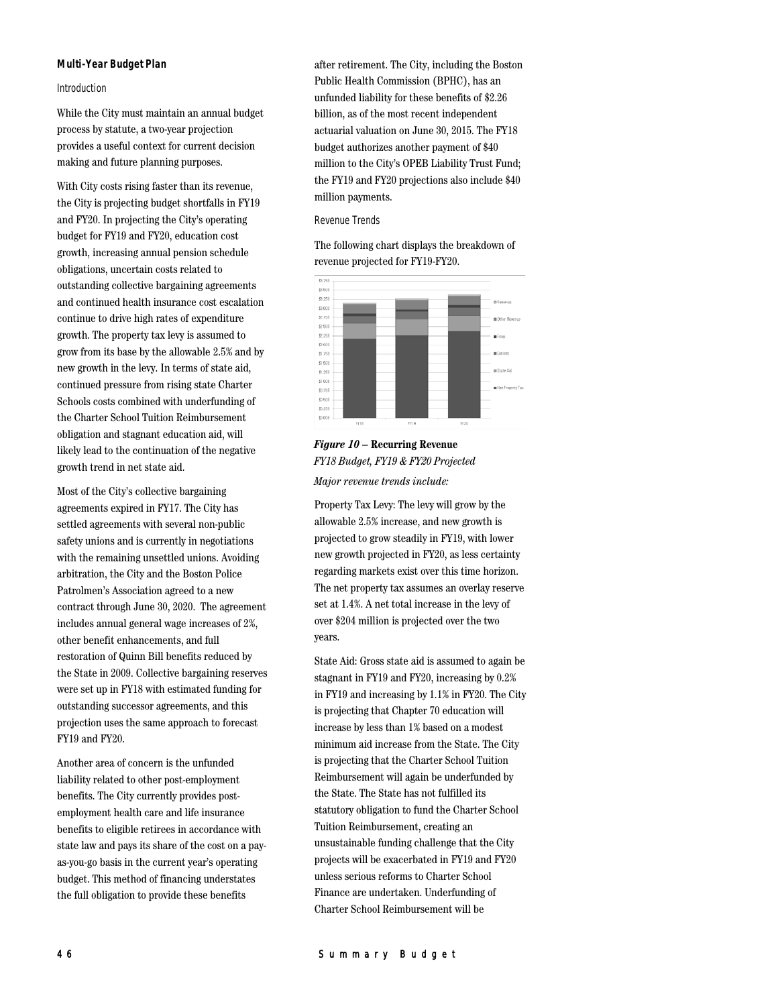#### **Multi-Year Budget Plan**

#### Introduction

While the City must maintain an annual budget process by statute, a two-year projection provides a useful context for current decision making and future planning purposes.

With City costs rising faster than its revenue, the City is projecting budget shortfalls in FY19 and FY20. In projecting the City's operating budget for FY19 and FY20, education cost growth, increasing annual pension schedule obligations, uncertain costs related to outstanding collective bargaining agreements and continued health insurance cost escalation continue to drive high rates of expenditure growth. The property tax levy is assumed to grow from its base by the allowable 2.5% and by new growth in the levy. In terms of state aid, continued pressure from rising state Charter Schools costs combined with underfunding of the Charter School Tuition Reimbursement obligation and stagnant education aid, will likely lead to the continuation of the negative growth trend in net state aid.

Most of the City's collective bargaining agreements expired in FY17. The City has settled agreements with several non-public safety unions and is currently in negotiations with the remaining unsettled unions. Avoiding arbitration, the City and the Boston Police Patrolmen's Association agreed to a new contract through June 30, 2020. The agreement includes annual general wage increases of 2%, other benefit enhancements, and full restoration of Quinn Bill benefits reduced by the State in 2009. Collective bargaining reserves were set up in FY18 with estimated funding for outstanding successor agreements, and this projection uses the same approach to forecast FY19 and FY20.

Another area of concern is the unfunded liability related to other post-employment benefits. The City currently provides postemployment health care and life insurance benefits to eligible retirees in accordance with state law and pays its share of the cost on a payas-you-go basis in the current year's operating budget. This method of financing understates the full obligation to provide these benefits

after retirement. The City, including the Boston Public Health Commission (BPHC), has an unfunded liability for these benefits of \$2.26 billion, as of the most recent independent actuarial valuation on June 30, 2015. The FY18 budget authorizes another payment of \$40 million to the City's OPEB Liability Trust Fund; the FY19 and FY20 projections also include \$40 million payments.

#### Revenue Trends

The following chart displays the breakdown of revenue projected for FY19-FY20.



# *Figure 10* **– Recurring Revenue** *FY18 Budget, FY19 & FY20 Projected Major revenue trends include:*

Property Tax Levy: The levy will grow by the allowable 2.5% increase, and new growth is projected to grow steadily in FY19, with lower new growth projected in FY20, as less certainty regarding markets exist over this time horizon. The net property tax assumes an overlay reserve set at 1.4%. A net total increase in the levy of over \$204 million is projected over the two years.

State Aid: Gross state aid is assumed to again be stagnant in FY19 and FY20, increasing by 0.2% in FY19 and increasing by 1.1% in FY20. The City is projecting that Chapter 70 education will increase by less than 1% based on a modest minimum aid increase from the State. The City is projecting that the Charter School Tuition Reimbursement will again be underfunded by the State. The State has not fulfilled its statutory obligation to fund the Charter School Tuition Reimbursement, creating an unsustainable funding challenge that the City projects will be exacerbated in FY19 and FY20 unless serious reforms to Charter School Finance are undertaken. Underfunding of Charter School Reimbursement will be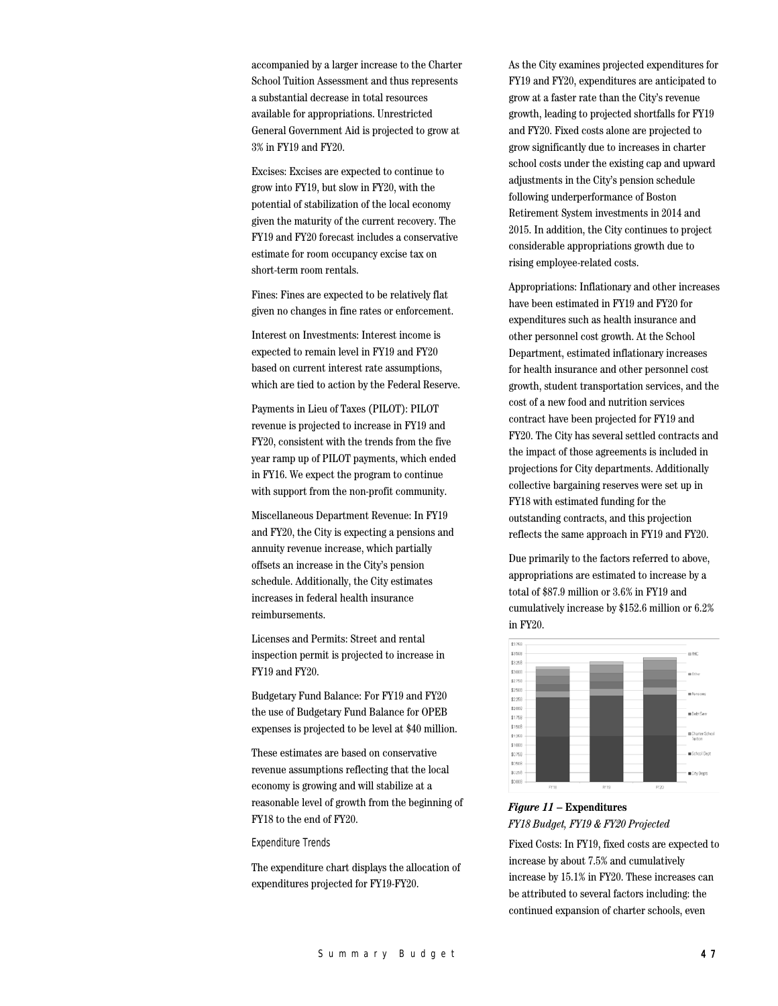accompanied by a larger increase to the Charter School Tuition Assessment and thus represents a substantial decrease in total resources available for appropriations. Unrestricted General Government Aid is projected to grow at 3% in FY19 and FY20.

Excises: Excises are expected to continue to grow into FY19, but slow in FY20, with the potential of stabilization of the local economy given the maturity of the current recovery. The FY19 and FY20 forecast includes a conservative estimate for room occupancy excise tax on short-term room rentals.

Fines: Fines are expected to be relatively flat given no changes in fine rates or enforcement.

Interest on Investments: Interest income is expected to remain level in FY19 and FY20 based on current interest rate assumptions, which are tied to action by the Federal Reserve.

Payments in Lieu of Taxes (PILOT): PILOT revenue is projected to increase in FY19 and FY20, consistent with the trends from the five year ramp up of PILOT payments, which ended in FY16. We expect the program to continue with support from the non-profit community.

Miscellaneous Department Revenue: In FY19 and FY20, the City is expecting a pensions and annuity revenue increase, which partially offsets an increase in the City's pension schedule. Additionally, the City estimates increases in federal health insurance reimbursements.

Licenses and Permits: Street and rental inspection permit is projected to increase in FY19 and FY20.

Budgetary Fund Balance: For FY19 and FY20 the use of Budgetary Fund Balance for OPEB expenses is projected to be level at \$40 million.

These estimates are based on conservative revenue assumptions reflecting that the local economy is growing and will stabilize at a reasonable level of growth from the beginning of FY18 to the end of FY20.

Expenditure Trends

The expenditure chart displays the allocation of expenditures projected for FY19-FY20.

As the City examines projected expenditures for FY19 and FY20, expenditures are anticipated to grow at a faster rate than the City's revenue growth, leading to projected shortfalls for FY19 and FY20. Fixed costs alone are projected to grow significantly due to increases in charter school costs under the existing cap and upward adjustments in the City's pension schedule following underperformance of Boston Retirement System investments in 2014 and 2015. In addition, the City continues to project considerable appropriations growth due to rising employee-related costs.

Appropriations: Inflationary and other increases have been estimated in FY19 and FY20 for expenditures such as health insurance and other personnel cost growth. At the School Department, estimated inflationary increases for health insurance and other personnel cost growth, student transportation services, and the cost of a new food and nutrition services contract have been projected for FY19 and FY20. The City has several settled contracts and the impact of those agreements is included in projections for City departments. Additionally collective bargaining reserves were set up in FY18 with estimated funding for the outstanding contracts, and this projection reflects the same approach in FY19 and FY20.

Due primarily to the factors referred to above, appropriations are estimated to increase by a total of \$87.9 million or 3.6% in FY19 and cumulatively increase by \$152.6 million or 6.2% in FY20.



# *Figure 11* **– Expenditures** *FY18 Budget, FY19 & FY20 Projected*

Fixed Costs: In FY19, fixed costs are expected to increase by about 7.5% and cumulatively increase by 15.1% in FY20. These increases can be attributed to several factors including: the continued expansion of charter schools, even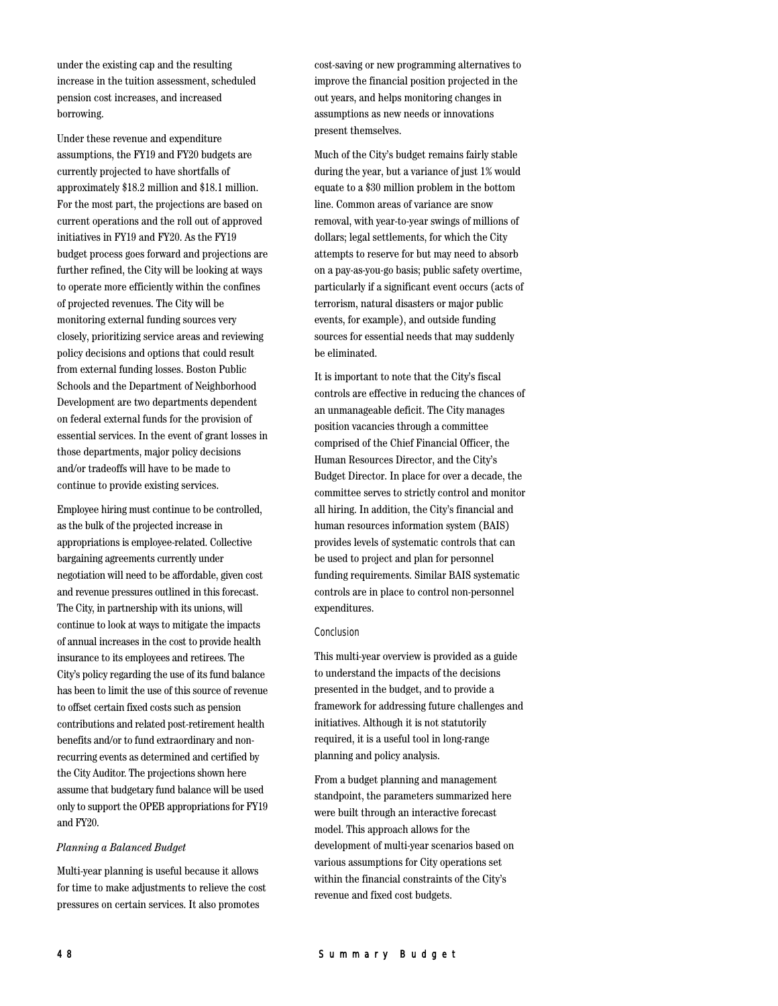under the existing cap and the resulting increase in the tuition assessment, scheduled pension cost increases, and increased borrowing.

Under these revenue and expenditure assumptions, the FY19 and FY20 budgets are currently projected to have shortfalls of approximately \$18.2 million and \$18.1 million. For the most part, the projections are based on current operations and the roll out of approved initiatives in FY19 and FY20. As the FY19 budget process goes forward and projections are further refined, the City will be looking at ways to operate more efficiently within the confines of projected revenues. The City will be monitoring external funding sources very closely, prioritizing service areas and reviewing policy decisions and options that could result from external funding losses. Boston Public Schools and the Department of Neighborhood Development are two departments dependent on federal external funds for the provision of essential services. In the event of grant losses in those departments, major policy decisions and/or tradeoffs will have to be made to continue to provide existing services.

Employee hiring must continue to be controlled, as the bulk of the projected increase in appropriations is employee-related. Collective bargaining agreements currently under negotiation will need to be affordable, given cost and revenue pressures outlined in this forecast. The City, in partnership with its unions, will continue to look at ways to mitigate the impacts of annual increases in the cost to provide health insurance to its employees and retirees. The City's policy regarding the use of its fund balance has been to limit the use of this source of revenue to offset certain fixed costs such as pension contributions and related post-retirement health benefits and/or to fund extraordinary and nonrecurring events as determined and certified by the City Auditor. The projections shown here assume that budgetary fund balance will be used only to support the OPEB appropriations for FY19 and FY20.

#### *Planning a Balanced Budget*

Multi-year planning is useful because it allows for time to make adjustments to relieve the cost pressures on certain services. It also promotes

cost-saving or new programming alternatives to improve the financial position projected in the out years, and helps monitoring changes in assumptions as new needs or innovations present themselves.

Much of the City's budget remains fairly stable during the year, but a variance of just 1% would equate to a \$30 million problem in the bottom line. Common areas of variance are snow removal, with year-to-year swings of millions of dollars; legal settlements, for which the City attempts to reserve for but may need to absorb on a pay-as-you-go basis; public safety overtime, particularly if a significant event occurs (acts of terrorism, natural disasters or major public events, for example), and outside funding sources for essential needs that may suddenly be eliminated.

It is important to note that the City's fiscal controls are effective in reducing the chances of an unmanageable deficit. The City manages position vacancies through a committee comprised of the Chief Financial Officer, the Human Resources Director, and the City's Budget Director. In place for over a decade, the committee serves to strictly control and monitor all hiring. In addition, the City's financial and human resources information system (BAIS) provides levels of systematic controls that can be used to project and plan for personnel funding requirements. Similar BAIS systematic controls are in place to control non-personnel expenditures.

#### Conclusion

This multi-year overview is provided as a guide to understand the impacts of the decisions presented in the budget, and to provide a framework for addressing future challenges and initiatives. Although it is not statutorily required, it is a useful tool in long-range planning and policy analysis.

From a budget planning and management standpoint, the parameters summarized here were built through an interactive forecast model. This approach allows for the development of multi-year scenarios based on various assumptions for City operations set within the financial constraints of the City's revenue and fixed cost budgets.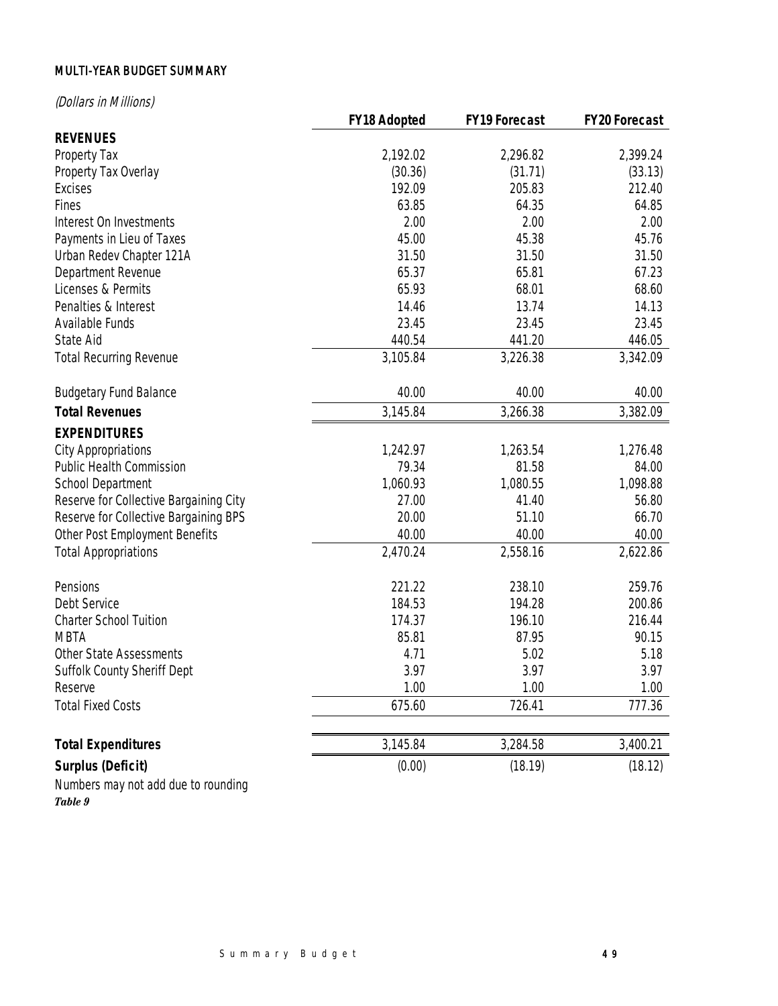# MULTI-YEAR BUDGET SUMMARY

(Dollars in Millions)

|                                        | <b>FY18 Adopted</b> | <b>FY19 Forecast</b> | <b>FY20 Forecast</b> |
|----------------------------------------|---------------------|----------------------|----------------------|
| <b>REVENUES</b>                        |                     |                      |                      |
| Property Tax                           | 2,192.02            | 2,296.82             | 2,399.24             |
| Property Tax Overlay                   | (30.36)             | (31.71)              | (33.13)              |
| <b>Excises</b>                         | 192.09              | 205.83               | 212.40               |
| Fines                                  | 63.85               | 64.35                | 64.85                |
| Interest On Investments                | 2.00                | 2.00                 | 2.00                 |
| Payments in Lieu of Taxes              | 45.00               | 45.38                | 45.76                |
| Urban Redev Chapter 121A               | 31.50               | 31.50                | 31.50                |
| Department Revenue                     | 65.37               | 65.81                | 67.23                |
| Licenses & Permits                     | 65.93               | 68.01                | 68.60                |
| Penalties & Interest                   | 14.46               | 13.74                | 14.13                |
| Available Funds                        | 23.45               | 23.45                | 23.45                |
| State Aid                              | 440.54              | 441.20               | 446.05               |
| <b>Total Recurring Revenue</b>         | 3,105.84            | 3,226.38             | 3,342.09             |
| <b>Budgetary Fund Balance</b>          | 40.00               | 40.00                | 40.00                |
| <b>Total Revenues</b>                  | 3,145.84            | 3,266.38             | 3,382.09             |
| <b>EXPENDITURES</b>                    |                     |                      |                      |
| <b>City Appropriations</b>             | 1,242.97            | 1,263.54             | 1,276.48             |
| <b>Public Health Commission</b>        | 79.34               | 81.58                | 84.00                |
| <b>School Department</b>               | 1,060.93            | 1,080.55             | 1,098.88             |
| Reserve for Collective Bargaining City | 27.00               | 41.40                | 56.80                |
| Reserve for Collective Bargaining BPS  | 20.00               | 51.10                | 66.70                |
| Other Post Employment Benefits         | 40.00               | 40.00                | 40.00                |
| <b>Total Appropriations</b>            | 2,470.24            | 2,558.16             | 2,622.86             |
| Pensions                               | 221.22              | 238.10               | 259.76               |
| Debt Service                           | 184.53              | 194.28               | 200.86               |
| <b>Charter School Tuition</b>          | 174.37              | 196.10               | 216.44               |
| <b>MBTA</b>                            | 85.81               | 87.95                | 90.15                |
| Other State Assessments                | 4.71                | 5.02                 | 5.18                 |
| Suffolk County Sheriff Dept            | 3.97                | 3.97                 | 3.97                 |
| Reserve                                | 1.00                | 1.00                 | 1.00                 |
| <b>Total Fixed Costs</b>               | 675.60              | 726.41               | 777.36               |
| <b>Total Expenditures</b>              | 3,145.84            | 3,284.58             | 3,400.21             |
| <b>Surplus (Deficit)</b>               | (0.00)              | (18.19)              | (18.12)              |
| Numbers may not add due to rounding    |                     |                      |                      |

*Table 9*